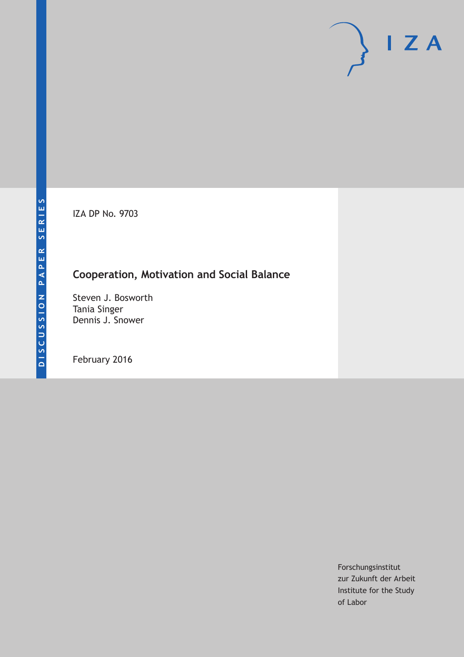IZA DP No. 9703

## **Cooperation, Motivation and Social Balance**

Steven J. Bosworth Tania Singer Dennis J. Snower

February 2016

Forschungsinstitut zur Zukunft der Arbeit Institute for the Study of Labor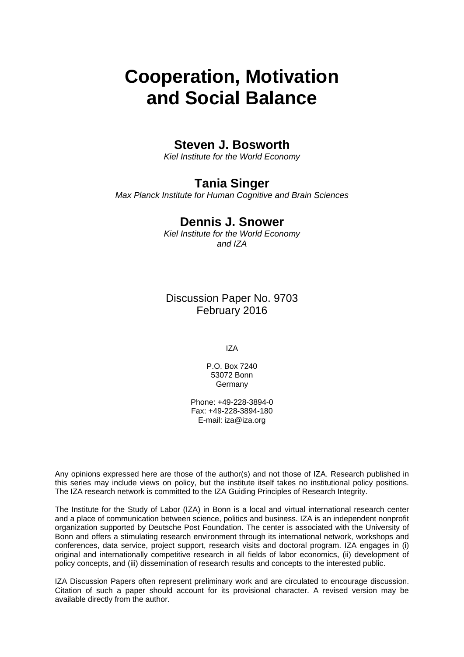# **Cooperation, Motivation and Social Balance**

## **Steven J. Bosworth**

*Kiel Institute for the World Economy* 

## **Tania Singer**

*Max Planck Institute for Human Cognitive and Brain Sciences* 

## **Dennis J. Snower**

*Kiel Institute for the World Economy and IZA*

Discussion Paper No. 9703 February 2016

IZA

P.O. Box 7240 53072 Bonn Germany

Phone: +49-228-3894-0 Fax: +49-228-3894-180 E-mail: iza@iza.org

Any opinions expressed here are those of the author(s) and not those of IZA. Research published in this series may include views on policy, but the institute itself takes no institutional policy positions. The IZA research network is committed to the IZA Guiding Principles of Research Integrity.

The Institute for the Study of Labor (IZA) in Bonn is a local and virtual international research center and a place of communication between science, politics and business. IZA is an independent nonprofit organization supported by Deutsche Post Foundation. The center is associated with the University of Bonn and offers a stimulating research environment through its international network, workshops and conferences, data service, project support, research visits and doctoral program. IZA engages in (i) original and internationally competitive research in all fields of labor economics, (ii) development of policy concepts, and (iii) dissemination of research results and concepts to the interested public.

IZA Discussion Papers often represent preliminary work and are circulated to encourage discussion. Citation of such a paper should account for its provisional character. A revised version may be available directly from the author.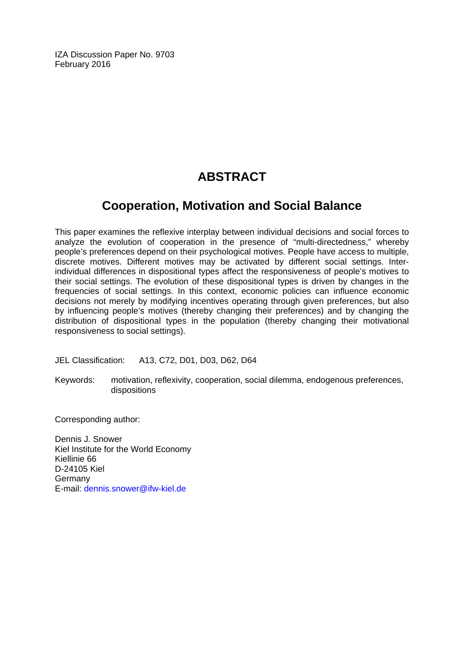IZA Discussion Paper No. 9703 February 2016

## **ABSTRACT**

## **Cooperation, Motivation and Social Balance**

This paper examines the reflexive interplay between individual decisions and social forces to analyze the evolution of cooperation in the presence of "multi-directedness," whereby people's preferences depend on their psychological motives. People have access to multiple, discrete motives. Different motives may be activated by different social settings. Interindividual differences in dispositional types affect the responsiveness of people's motives to their social settings. The evolution of these dispositional types is driven by changes in the frequencies of social settings. In this context, economic policies can influence economic decisions not merely by modifying incentives operating through given preferences, but also by influencing people's motives (thereby changing their preferences) and by changing the distribution of dispositional types in the population (thereby changing their motivational responsiveness to social settings).

JEL Classification: A13, C72, D01, D03, D62, D64

Keywords: motivation, reflexivity, cooperation, social dilemma, endogenous preferences, dispositions

Corresponding author:

Dennis J. Snower Kiel Institute for the World Economy Kiellinie 66 D-24105 Kiel Germany E-mail: dennis.snower@ifw-kiel.de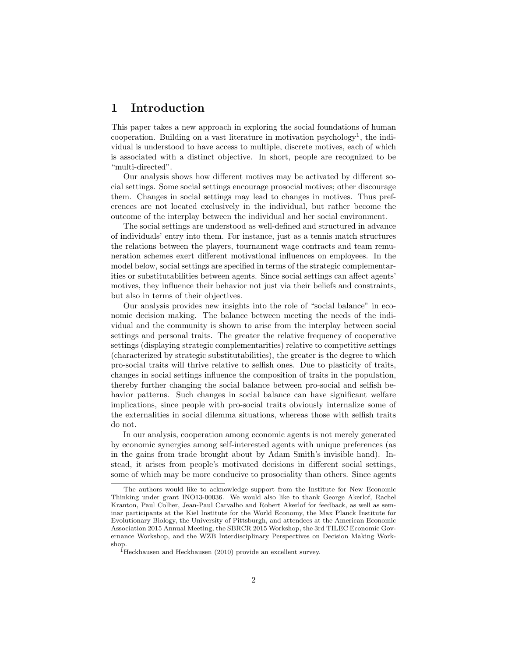## 1 Introduction

This paper takes a new approach in exploring the social foundations of human cooperation. Building on a vast literature in motivation psychology<sup>1</sup>, the individual is understood to have access to multiple, discrete motives, each of which is associated with a distinct objective. In short, people are recognized to be "multi-directed".

Our analysis shows how different motives may be activated by different social settings. Some social settings encourage prosocial motives; other discourage them. Changes in social settings may lead to changes in motives. Thus preferences are not located exclusively in the individual, but rather become the outcome of the interplay between the individual and her social environment.

The social settings are understood as well-defined and structured in advance of individuals' entry into them. For instance, just as a tennis match structures the relations between the players, tournament wage contracts and team remuneration schemes exert different motivational influences on employees. In the model below, social settings are specified in terms of the strategic complementarities or substitutabilities between agents. Since social settings can affect agents' motives, they influence their behavior not just via their beliefs and constraints, but also in terms of their objectives.

Our analysis provides new insights into the role of "social balance" in economic decision making. The balance between meeting the needs of the individual and the community is shown to arise from the interplay between social settings and personal traits. The greater the relative frequency of cooperative settings (displaying strategic complementarities) relative to competitive settings (characterized by strategic substitutabilities), the greater is the degree to which pro-social traits will thrive relative to selfish ones. Due to plasticity of traits, changes in social settings influence the composition of traits in the population, thereby further changing the social balance between pro-social and selfish behavior patterns. Such changes in social balance can have significant welfare implications, since people with pro-social traits obviously internalize some of the externalities in social dilemma situations, whereas those with selfish traits do not.

In our analysis, cooperation among economic agents is not merely generated by economic synergies among self-interested agents with unique preferences (as in the gains from trade brought about by Adam Smith's invisible hand). Instead, it arises from people's motivated decisions in different social settings, some of which may be more conducive to prosociality than others. Since agents

The authors would like to acknowledge support from the Institute for New Economic Thinking under grant INO13-00036. We would also like to thank George Akerlof, Rachel Kranton, Paul Collier, Jean-Paul Carvalho and Robert Akerlof for feedback, as well as seminar participants at the Kiel Institute for the World Economy, the Max Planck Institute for Evolutionary Biology, the University of Pittsburgh, and attendees at the American Economic Association 2015 Annual Meeting, the SBRCR 2015 Workshop, the 3rd TILEC Economic Governance Workshop, and the WZB Interdisciplinary Perspectives on Decision Making Workshop.

<sup>1</sup>Heckhausen and Heckhausen (2010) provide an excellent survey.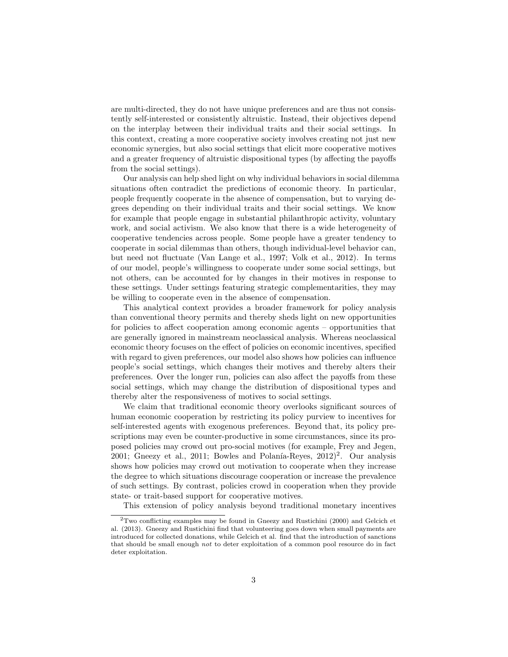are multi-directed, they do not have unique preferences and are thus not consistently self-interested or consistently altruistic. Instead, their objectives depend on the interplay between their individual traits and their social settings. In this context, creating a more cooperative society involves creating not just new economic synergies, but also social settings that elicit more cooperative motives and a greater frequency of altruistic dispositional types (by affecting the payoffs from the social settings).

Our analysis can help shed light on why individual behaviors in social dilemma situations often contradict the predictions of economic theory. In particular, people frequently cooperate in the absence of compensation, but to varying degrees depending on their individual traits and their social settings. We know for example that people engage in substantial philanthropic activity, voluntary work, and social activism. We also know that there is a wide heterogeneity of cooperative tendencies across people. Some people have a greater tendency to cooperate in social dilemmas than others, though individual-level behavior can, but need not fluctuate (Van Lange et al., 1997; Volk et al., 2012). In terms of our model, people's willingness to cooperate under some social settings, but not others, can be accounted for by changes in their motives in response to these settings. Under settings featuring strategic complementarities, they may be willing to cooperate even in the absence of compensation.

This analytical context provides a broader framework for policy analysis than conventional theory permits and thereby sheds light on new opportunities for policies to affect cooperation among economic agents – opportunities that are generally ignored in mainstream neoclassical analysis. Whereas neoclassical economic theory focuses on the effect of policies on economic incentives, specified with regard to given preferences, our model also shows how policies can influence people's social settings, which changes their motives and thereby alters their preferences. Over the longer run, policies can also affect the payoffs from these social settings, which may change the distribution of dispositional types and thereby alter the responsiveness of motives to social settings.

We claim that traditional economic theory overlooks significant sources of human economic cooperation by restricting its policy purview to incentives for self-interested agents with exogenous preferences. Beyond that, its policy prescriptions may even be counter-productive in some circumstances, since its proposed policies may crowd out pro-social motives (for example, Frey and Jegen,  $2001$ ; Gneezy et al.,  $2011$ ; Bowles and Polanía-Reyes,  $2012$ <sup>2</sup>. Our analysis shows how policies may crowd out motivation to cooperate when they increase the degree to which situations discourage cooperation or increase the prevalence of such settings. By contrast, policies crowd in cooperation when they provide state- or trait-based support for cooperative motives.

This extension of policy analysis beyond traditional monetary incentives

<sup>&</sup>lt;sup>2</sup>Two conflicting examples may be found in Gneezy and Rustichini (2000) and Gelcich et al. (2013). Gneezy and Rustichini find that volunteering goes down when small payments are introduced for collected donations, while Gelcich et al. find that the introduction of sanctions that should be small enough not to deter exploitation of a common pool resource do in fact deter exploitation.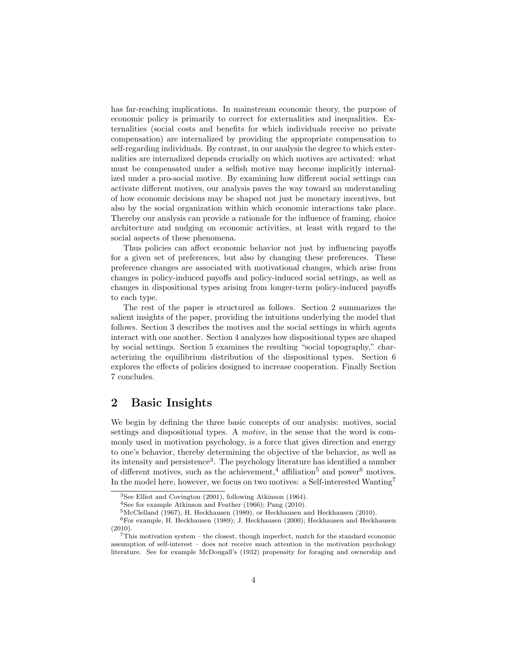has far-reaching implications. In mainstream economic theory, the purpose of economic policy is primarily to correct for externalities and inequalities. Externalities (social costs and benefits for which individuals receive no private compensation) are internalized by providing the appropriate compensation to self-regarding individuals. By contrast, in our analysis the degree to which externalities are internalized depends crucially on which motives are activated: what must be compensated under a selfish motive may become implicitly internalized under a pro-social motive. By examining how different social settings can activate different motives, our analysis paves the way toward an understanding of how economic decisions may be shaped not just be monetary incentives, but also by the social organization within which economic interactions take place. Thereby our analysis can provide a rationale for the influence of framing, choice architecture and nudging on economic activities, at least with regard to the social aspects of these phenomena.

Thus policies can affect economic behavior not just by influencing payoffs for a given set of preferences, but also by changing these preferences. These preference changes are associated with motivational changes, which arise from changes in policy-induced payoffs and policy-induced social settings, as well as changes in dispositional types arising from longer-term policy-induced payoffs to each type.

The rest of the paper is structured as follows. Section 2 summarizes the salient insights of the paper, providing the intuitions underlying the model that follows. Section 3 describes the motives and the social settings in which agents interact with one another. Section 4 analyzes how dispositional types are shaped by social settings. Section 5 examines the resulting "social topography," characterizing the equilibrium distribution of the dispositional types. Section 6 explores the effects of policies designed to increase cooperation. Finally Section 7 concludes.

## 2 Basic Insights

We begin by defining the three basic concepts of our analysis: motives, social settings and dispositional types. A *motive*, in the sense that the word is commonly used in motivation psychology, is a force that gives direction and energy to one's behavior, thereby determining the objective of the behavior, as well as its intensity and persistence<sup>3</sup> . The psychology literature has identified a number of different motives, such as the achievement,<sup>4</sup> affiliation<sup>5</sup> and power<sup>6</sup> motives. In the model here, however, we focus on two motives: a Self-interested Wanting<sup>7</sup>

<sup>3</sup>See Elliot and Covington (2001), following Atkinson (1964).

<sup>4</sup>See for example Atkinson and Feather (1966); Pang (2010).

<sup>5</sup>McClelland (1967), H. Heckhausen (1989), or Heckhausen and Heckhausen (2010).

 $^6$  For example, H. Heckhausen (1989); J. Heckhausen (2000); Heckhausen and Heckhausen  $(2010)$ .

<sup>&</sup>lt;sup>7</sup>This motivation system – the closest, though imperfect, match for the standard economic assumption of self-interest – does not receive much attention in the motivation psychology literature. See for example McDougall's (1932) propensity for foraging and ownership and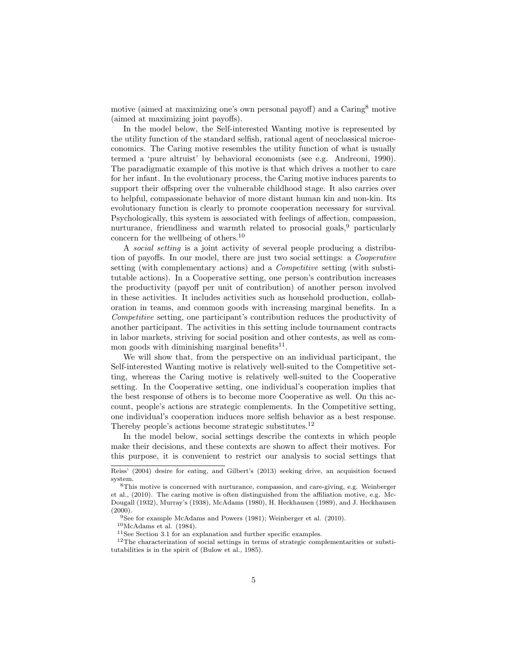motive (aimed at maximizing one's own personal payoff) and a Caring<sup>8</sup> motive (aimed at maximizing joint payoffs).

In the model below, the Self-interested Wanting motive is represented by the utility function of the standard selfish, rational agent of neoclassical microeconomics. The Caring motive resembles the utility function of what is usually termed a 'pure altruist' by behavioral economists (see e.g. Andreoni, 1990). The paradigmatic example of this motive is that which drives a mother to care for her infant. In the evolutionary process, the Caring motive induces parents to support their offspring over the vulnerable childhood stage. It also carries over to helpful, compassionate behavior of more distant human kin and non-kin. Its evolutionary function is clearly to promote cooperation necessary for survival. Psychologically, this system is associated with feelings of affection, compassion, nurturance, friendliness and warmth related to prosocial goals,  $9$  particularly concern for the wellbeing of others.<sup>10</sup>

A social setting is a joint activity of several people producing a distribution of payoffs. In our model, there are just two social settings: a Cooperative setting (with complementary actions) and a *Competitive* setting (with substitutable actions). In a Cooperative setting, one person's contribution increases the productivity (payoff per unit of contribution) of another person involved in these activities. It includes activities such as household production, collaboration in teams, and common goods with increasing marginal benefits. In a Competitive setting, one participant's contribution reduces the productivity of another participant. The activities in this setting include tournament contracts in labor markets, striving for social position and other contests, as well as common goods with diminishing marginal benefits $^{11}$ .

We will show that, from the perspective on an individual participant, the Self-interested Wanting motive is relatively well-suited to the Competitive setting, whereas the Caring motive is relatively well-suited to the Cooperative setting. In the Cooperative setting, one individual's cooperation implies that the best response of others is to become more Cooperative as well. On this account, people's actions are strategic complements. In the Competitive setting, one individual's cooperation induces more selfish behavior as a best response. Thereby people's actions become strategic substitutes.<sup>12</sup>

In the model below, social settings describe the contexts in which people make their decisions, and these contexts are shown to affect their motives. For this purpose, it is convenient to restrict our analysis to social settings that

Reiss' (2004) desire for eating, and Gilbert's (2013) seeking drive, an acquisition focused system.

<sup>8</sup>This motive is concerned with nurturance, compassion, and care-giving, e.g. Weinberger et al., (2010). The caring motive is often distinguished from the affiliation motive, e.g. Mc-Dougall (1932), Murray's (1938), McAdams (1980), H. Heckhausen (1989), and J. Heckhausen  $(2000).$ 

 $9$ See for example McAdams and Powers (1981); Weinberger et al. (2010).

 $10$ McAdams et al. (1984).

 $11$ See Section 3.1 for an explanation and further specific examples.

 $^{12}\mathrm{The}$  characterization of social settings in terms of strategic complementarities or substitutabilities is in the spirit of (Bulow et al., 1985).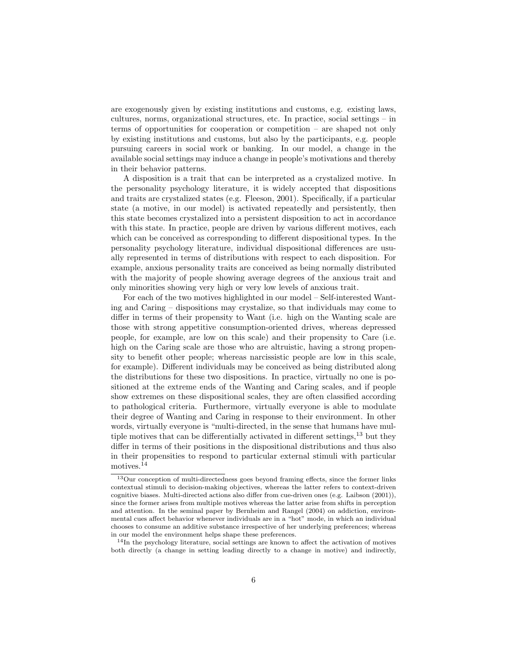are exogenously given by existing institutions and customs, e.g. existing laws, cultures, norms, organizational structures, etc. In practice, social settings – in terms of opportunities for cooperation or competition – are shaped not only by existing institutions and customs, but also by the participants, e.g. people pursuing careers in social work or banking. In our model, a change in the available social settings may induce a change in people's motivations and thereby in their behavior patterns.

A disposition is a trait that can be interpreted as a crystalized motive. In the personality psychology literature, it is widely accepted that dispositions and traits are crystalized states (e.g. Fleeson, 2001). Specifically, if a particular state (a motive, in our model) is activated repeatedly and persistently, then this state becomes crystalized into a persistent disposition to act in accordance with this state. In practice, people are driven by various different motives, each which can be conceived as corresponding to different dispositional types. In the personality psychology literature, individual dispositional differences are usually represented in terms of distributions with respect to each disposition. For example, anxious personality traits are conceived as being normally distributed with the majority of people showing average degrees of the anxious trait and only minorities showing very high or very low levels of anxious trait.

For each of the two motives highlighted in our model – Self-interested Wanting and Caring – dispositions may crystalize, so that individuals may come to differ in terms of their propensity to Want (i.e. high on the Wanting scale are those with strong appetitive consumption-oriented drives, whereas depressed people, for example, are low on this scale) and their propensity to Care (i.e. high on the Caring scale are those who are altruistic, having a strong propensity to benefit other people; whereas narcissistic people are low in this scale, for example). Different individuals may be conceived as being distributed along the distributions for these two dispositions. In practice, virtually no one is positioned at the extreme ends of the Wanting and Caring scales, and if people show extremes on these dispositional scales, they are often classified according to pathological criteria. Furthermore, virtually everyone is able to modulate their degree of Wanting and Caring in response to their environment. In other words, virtually everyone is "multi-directed, in the sense that humans have multiple motives that can be differentially activated in different settings,<sup>13</sup> but they differ in terms of their positions in the dispositional distributions and thus also in their propensities to respond to particular external stimuli with particular motives.<sup>14</sup>

<sup>&</sup>lt;sup>13</sup>Our conception of multi-directedness goes beyond framing effects, since the former links contextual stimuli to decision-making objectives, whereas the latter refers to context-driven cognitive biases. Multi-directed actions also differ from cue-driven ones (e.g. Laibson (2001)), since the former arises from multiple motives whereas the latter arise from shifts in perception and attention. In the seminal paper by Bernheim and Rangel (2004) on addiction, environmental cues affect behavior whenever individuals are in a "hot" mode, in which an individual chooses to consume an additive substance irrespective of her underlying preferences; whereas in our model the environment helps shape these preferences.

<sup>14</sup>In the psychology literature, social settings are known to affect the activation of motives both directly (a change in setting leading directly to a change in motive) and indirectly,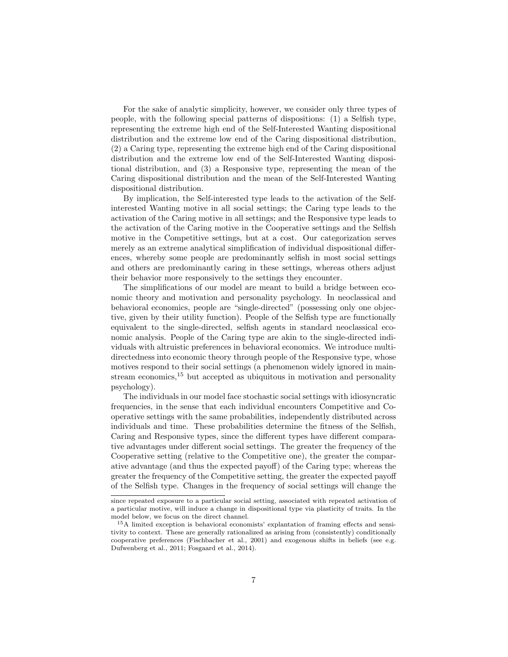For the sake of analytic simplicity, however, we consider only three types of people, with the following special patterns of dispositions: (1) a Selfish type, representing the extreme high end of the Self-Interested Wanting dispositional distribution and the extreme low end of the Caring dispositional distribution, (2) a Caring type, representing the extreme high end of the Caring dispositional distribution and the extreme low end of the Self-Interested Wanting dispositional distribution, and (3) a Responsive type, representing the mean of the Caring dispositional distribution and the mean of the Self-Interested Wanting dispositional distribution.

By implication, the Self-interested type leads to the activation of the Selfinterested Wanting motive in all social settings; the Caring type leads to the activation of the Caring motive in all settings; and the Responsive type leads to the activation of the Caring motive in the Cooperative settings and the Selfish motive in the Competitive settings, but at a cost. Our categorization serves merely as an extreme analytical simplification of individual dispositional differences, whereby some people are predominantly selfish in most social settings and others are predominantly caring in these settings, whereas others adjust their behavior more responsively to the settings they encounter.

The simplifications of our model are meant to build a bridge between economic theory and motivation and personality psychology. In neoclassical and behavioral economics, people are "single-directed" (possessing only one objective, given by their utility function). People of the Selfish type are functionally equivalent to the single-directed, selfish agents in standard neoclassical economic analysis. People of the Caring type are akin to the single-directed individuals with altruistic preferences in behavioral economics. We introduce multidirectedness into economic theory through people of the Responsive type, whose motives respond to their social settings (a phenomenon widely ignored in mainstream economics,<sup>15</sup> but accepted as ubiquitous in motivation and personality psychology).

The individuals in our model face stochastic social settings with idiosyncratic frequencies, in the sense that each individual encounters Competitive and Cooperative settings with the same probabilities, independently distributed across individuals and time. These probabilities determine the fitness of the Selfish, Caring and Responsive types, since the different types have different comparative advantages under different social settings. The greater the frequency of the Cooperative setting (relative to the Competitive one), the greater the comparative advantage (and thus the expected payoff) of the Caring type; whereas the greater the frequency of the Competitive setting, the greater the expected payoff of the Selfish type. Changes in the frequency of social settings will change the

since repeated exposure to a particular social setting, associated with repeated activation of a particular motive, will induce a change in dispositional type via plasticity of traits. In the model below, we focus on the direct channel.

<sup>15</sup>A limited exception is behavioral economists' explantation of framing effects and sensitivity to context. These are generally rationalized as arising from (consistently) conditionally cooperative preferences (Fischbacher et al., 2001) and exogenous shifts in beliefs (see e.g. Dufwenberg et al., 2011; Fosgaard et al., 2014).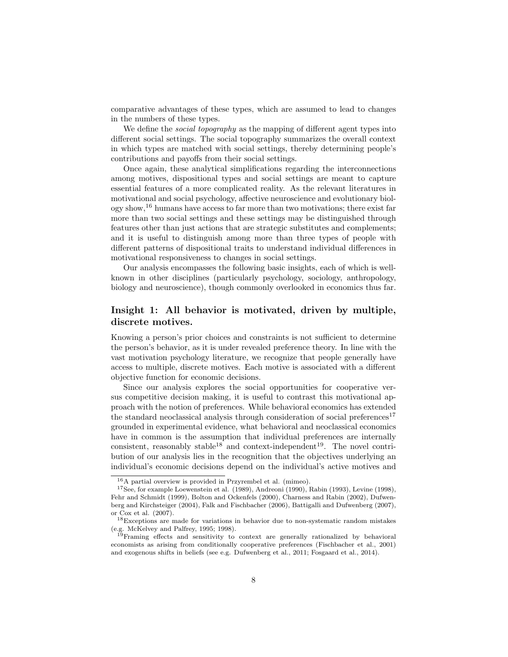comparative advantages of these types, which are assumed to lead to changes in the numbers of these types.

We define the *social topography* as the mapping of different agent types into different social settings. The social topography summarizes the overall context in which types are matched with social settings, thereby determining people's contributions and payoffs from their social settings.

Once again, these analytical simplifications regarding the interconnections among motives, dispositional types and social settings are meant to capture essential features of a more complicated reality. As the relevant literatures in motivational and social psychology, affective neuroscience and evolutionary biology show,<sup>16</sup> humans have access to far more than two motivations; there exist far more than two social settings and these settings may be distinguished through features other than just actions that are strategic substitutes and complements; and it is useful to distinguish among more than three types of people with different patterns of dispositional traits to understand individual differences in motivational responsiveness to changes in social settings.

Our analysis encompasses the following basic insights, each of which is wellknown in other disciplines (particularly psychology, sociology, anthropology, biology and neuroscience), though commonly overlooked in economics thus far.

### Insight 1: All behavior is motivated, driven by multiple, discrete motives.

Knowing a person's prior choices and constraints is not sufficient to determine the person's behavior, as it is under revealed preference theory. In line with the vast motivation psychology literature, we recognize that people generally have access to multiple, discrete motives. Each motive is associated with a different objective function for economic decisions.

Since our analysis explores the social opportunities for cooperative versus competitive decision making, it is useful to contrast this motivational approach with the notion of preferences. While behavioral economics has extended the standard neoclassical analysis through consideration of social preferences<sup>17</sup> grounded in experimental evidence, what behavioral and neoclassical economics have in common is the assumption that individual preferences are internally consistent, reasonably stable<sup>18</sup> and context-independent<sup>19</sup>. The novel contribution of our analysis lies in the recognition that the objectives underlying an individual's economic decisions depend on the individual's active motives and

<sup>16</sup>A partial overview is provided in Przyrembel et al. (mimeo).

<sup>17</sup>See, for example Loewenstein et al. (1989), Andreoni (1990), Rabin (1993), Levine (1998), Fehr and Schmidt (1999), Bolton and Ockenfels (2000), Charness and Rabin (2002), Dufwenberg and Kirchsteiger (2004), Falk and Fischbacher (2006), Battigalli and Dufwenberg (2007), or Cox et al. (2007).

<sup>18</sup>Exceptions are made for variations in behavior due to non-systematic random mistakes (e.g. McKelvey and Palfrey, 1995; 1998).

<sup>&</sup>lt;sup>19</sup>Framing effects and sensitivity to context are generally rationalized by behavioral economists as arising from conditionally cooperative preferences (Fischbacher et al., 2001) and exogenous shifts in beliefs (see e.g. Dufwenberg et al., 2011; Fosgaard et al., 2014).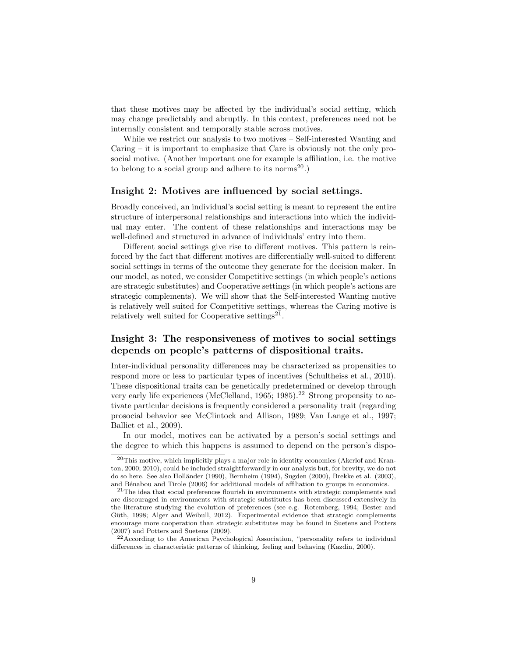that these motives may be affected by the individual's social setting, which may change predictably and abruptly. In this context, preferences need not be internally consistent and temporally stable across motives.

While we restrict our analysis to two motives – Self-interested Wanting and Caring  $-$  it is important to emphasize that Care is obviously not the only prosocial motive. (Another important one for example is affiliation, i.e. the motive to belong to a social group and adhere to its norms<sup>20</sup>.)

#### Insight 2: Motives are influenced by social settings.

Broadly conceived, an individual's social setting is meant to represent the entire structure of interpersonal relationships and interactions into which the individual may enter. The content of these relationships and interactions may be well-defined and structured in advance of individuals' entry into them.

Different social settings give rise to different motives. This pattern is reinforced by the fact that different motives are differentially well-suited to different social settings in terms of the outcome they generate for the decision maker. In our model, as noted, we consider Competitive settings (in which people's actions are strategic substitutes) and Cooperative settings (in which people's actions are strategic complements). We will show that the Self-interested Wanting motive is relatively well suited for Competitive settings, whereas the Caring motive is relatively well suited for Cooperative settings<sup>21</sup>.

### Insight 3: The responsiveness of motives to social settings depends on people's patterns of dispositional traits.

Inter-individual personality differences may be characterized as propensities to respond more or less to particular types of incentives (Schultheiss et al., 2010). These dispositional traits can be genetically predetermined or develop through very early life experiences (McClelland, 1965; 1985).<sup>22</sup> Strong propensity to activate particular decisions is frequently considered a personality trait (regarding prosocial behavior see McClintock and Allison, 1989; Van Lange et al., 1997; Balliet et al., 2009).

In our model, motives can be activated by a person's social settings and the degree to which this happens is assumed to depend on the person's dispo-

<sup>20</sup>This motive, which implicitly plays a major role in identity economics (Akerlof and Kranton, 2000; 2010), could be included straightforwardly in our analysis but, for brevity, we do not do so here. See also Holländer (1990), Bernheim (1994), Sugden (2000), Brekke et al. (2003), and Bénabou and Tirole (2006) for additional models of affiliation to groups in economics.

 $21$ The idea that social preferences flourish in environments with strategic complements and are discouraged in environments with strategic substitutes has been discussed extensively in the literature studying the evolution of preferences (see e.g. Rotemberg, 1994; Bester and Güth, 1998; Alger and Weibull, 2012). Experimental evidence that strategic complements encourage more cooperation than strategic substitutes may be found in Suetens and Potters (2007) and Potters and Suetens (2009).

 $22$ According to the American Psychological Association, "personality refers to individual differences in characteristic patterns of thinking, feeling and behaving (Kazdin, 2000).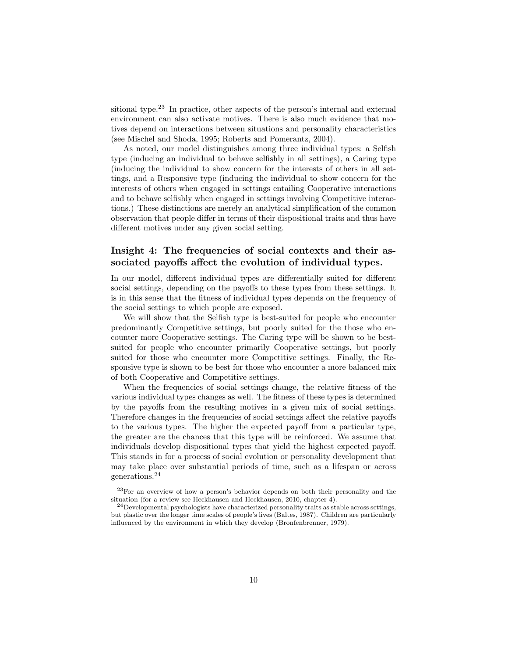sitional type.<sup>23</sup> In practice, other aspects of the person's internal and external environment can also activate motives. There is also much evidence that motives depend on interactions between situations and personality characteristics (see Mischel and Shoda, 1995; Roberts and Pomerantz, 2004).

As noted, our model distinguishes among three individual types: a Selfish type (inducing an individual to behave selfishly in all settings), a Caring type (inducing the individual to show concern for the interests of others in all settings, and a Responsive type (inducing the individual to show concern for the interests of others when engaged in settings entailing Cooperative interactions and to behave selfishly when engaged in settings involving Competitive interactions.) These distinctions are merely an analytical simplification of the common observation that people differ in terms of their dispositional traits and thus have different motives under any given social setting.

## Insight 4: The frequencies of social contexts and their associated payoffs affect the evolution of individual types.

In our model, different individual types are differentially suited for different social settings, depending on the payoffs to these types from these settings. It is in this sense that the fitness of individual types depends on the frequency of the social settings to which people are exposed.

We will show that the Selfish type is best-suited for people who encounter predominantly Competitive settings, but poorly suited for the those who encounter more Cooperative settings. The Caring type will be shown to be bestsuited for people who encounter primarily Cooperative settings, but poorly suited for those who encounter more Competitive settings. Finally, the Responsive type is shown to be best for those who encounter a more balanced mix of both Cooperative and Competitive settings.

When the frequencies of social settings change, the relative fitness of the various individual types changes as well. The fitness of these types is determined by the payoffs from the resulting motives in a given mix of social settings. Therefore changes in the frequencies of social settings affect the relative payoffs to the various types. The higher the expected payoff from a particular type, the greater are the chances that this type will be reinforced. We assume that individuals develop dispositional types that yield the highest expected payoff. This stands in for a process of social evolution or personality development that may take place over substantial periods of time, such as a lifespan or across generations.<sup>24</sup>

<sup>&</sup>lt;sup>23</sup>For an overview of how a person's behavior depends on both their personality and the situation (for a review see Heckhausen and Heckhausen, 2010, chapter 4).

 $^{24}$ Developmental psychologists have characterized personality traits as stable across settings, but plastic over the longer time scales of people's lives (Baltes, 1987). Children are particularly influenced by the environment in which they develop (Bronfenbrenner, 1979).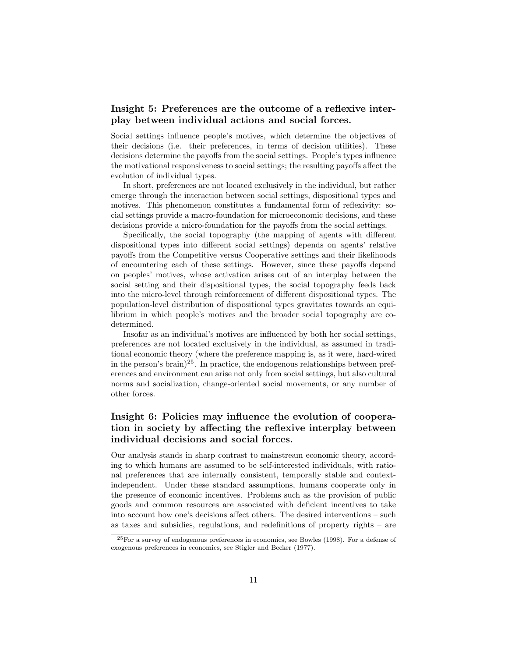#### Insight 5: Preferences are the outcome of a reflexive interplay between individual actions and social forces.

Social settings influence people's motives, which determine the objectives of their decisions (i.e. their preferences, in terms of decision utilities). These decisions determine the payoffs from the social settings. People's types influence the motivational responsiveness to social settings; the resulting payoffs affect the evolution of individual types.

In short, preferences are not located exclusively in the individual, but rather emerge through the interaction between social settings, dispositional types and motives. This phenomenon constitutes a fundamental form of reflexivity: social settings provide a macro-foundation for microeconomic decisions, and these decisions provide a micro-foundation for the payoffs from the social settings.

Specifically, the social topography (the mapping of agents with different dispositional types into different social settings) depends on agents' relative payoffs from the Competitive versus Cooperative settings and their likelihoods of encountering each of these settings. However, since these payoffs depend on peoples' motives, whose activation arises out of an interplay between the social setting and their dispositional types, the social topography feeds back into the micro-level through reinforcement of different dispositional types. The population-level distribution of dispositional types gravitates towards an equilibrium in which people's motives and the broader social topography are codetermined.

Insofar as an individual's motives are influenced by both her social settings, preferences are not located exclusively in the individual, as assumed in traditional economic theory (where the preference mapping is, as it were, hard-wired in the person's brain)<sup>25</sup>. In practice, the endogenous relationships between preferences and environment can arise not only from social settings, but also cultural norms and socialization, change-oriented social movements, or any number of other forces.

## Insight 6: Policies may influence the evolution of cooperation in society by affecting the reflexive interplay between individual decisions and social forces.

Our analysis stands in sharp contrast to mainstream economic theory, according to which humans are assumed to be self-interested individuals, with rational preferences that are internally consistent, temporally stable and contextindependent. Under these standard assumptions, humans cooperate only in the presence of economic incentives. Problems such as the provision of public goods and common resources are associated with deficient incentives to take into account how one's decisions affect others. The desired interventions – such as taxes and subsidies, regulations, and redefinitions of property rights – are

<sup>25</sup>For a survey of endogenous preferences in economics, see Bowles (1998). For a defense of exogenous preferences in economics, see Stigler and Becker (1977).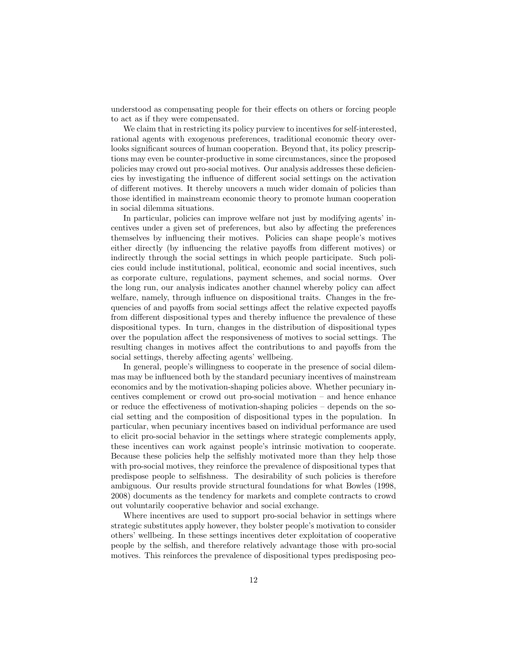understood as compensating people for their effects on others or forcing people to act as if they were compensated.

We claim that in restricting its policy purview to incentives for self-interested, rational agents with exogenous preferences, traditional economic theory overlooks significant sources of human cooperation. Beyond that, its policy prescriptions may even be counter-productive in some circumstances, since the proposed policies may crowd out pro-social motives. Our analysis addresses these deficiencies by investigating the influence of different social settings on the activation of different motives. It thereby uncovers a much wider domain of policies than those identified in mainstream economic theory to promote human cooperation in social dilemma situations.

In particular, policies can improve welfare not just by modifying agents' incentives under a given set of preferences, but also by affecting the preferences themselves by influencing their motives. Policies can shape people's motives either directly (by influencing the relative payoffs from different motives) or indirectly through the social settings in which people participate. Such policies could include institutional, political, economic and social incentives, such as corporate culture, regulations, payment schemes, and social norms. Over the long run, our analysis indicates another channel whereby policy can affect welfare, namely, through influence on dispositional traits. Changes in the frequencies of and payoffs from social settings affect the relative expected payoffs from different dispositional types and thereby influence the prevalence of these dispositional types. In turn, changes in the distribution of dispositional types over the population affect the responsiveness of motives to social settings. The resulting changes in motives affect the contributions to and payoffs from the social settings, thereby affecting agents' wellbeing.

In general, people's willingness to cooperate in the presence of social dilemmas may be influenced both by the standard pecuniary incentives of mainstream economics and by the motivation-shaping policies above. Whether pecuniary incentives complement or crowd out pro-social motivation – and hence enhance or reduce the effectiveness of motivation-shaping policies – depends on the social setting and the composition of dispositional types in the population. In particular, when pecuniary incentives based on individual performance are used to elicit pro-social behavior in the settings where strategic complements apply, these incentives can work against people's intrinsic motivation to cooperate. Because these policies help the selfishly motivated more than they help those with pro-social motives, they reinforce the prevalence of dispositional types that predispose people to selfishness. The desirability of such policies is therefore ambiguous. Our results provide structural foundations for what Bowles (1998, 2008) documents as the tendency for markets and complete contracts to crowd out voluntarily cooperative behavior and social exchange.

Where incentives are used to support pro-social behavior in settings where strategic substitutes apply however, they bolster people's motivation to consider others' wellbeing. In these settings incentives deter exploitation of cooperative people by the selfish, and therefore relatively advantage those with pro-social motives. This reinforces the prevalence of dispositional types predisposing peo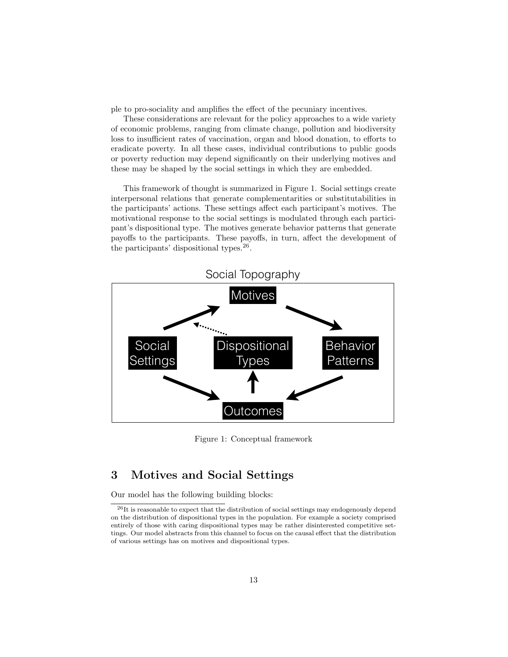ple to pro-sociality and amplifies the effect of the pecuniary incentives.

These considerations are relevant for the policy approaches to a wide variety of economic problems, ranging from climate change, pollution and biodiversity loss to insufficient rates of vaccination, organ and blood donation, to efforts to eradicate poverty. In all these cases, individual contributions to public goods or poverty reduction may depend significantly on their underlying motives and these may be shaped by the social settings in which they are embedded.

This framework of thought is summarized in Figure 1. Social settings create interpersonal relations that generate complementarities or substitutabilities in the participants' actions. These settings affect each participant's motives. The motivational response to the social settings is modulated through each participant's dispositional type. The motives generate behavior patterns that generate payoffs to the participants. These payoffs, in turn, affect the development of the participants' dispositional types.<sup>26</sup>.



Figure 1: Conceptual framework

## 3 Motives and Social Settings

Our model has the following building blocks:

 $^{26}\mathrm{It}$  is reasonable to expect that the distribution of social settings may endogenously depend on the distribution of dispositional types in the population. For example a society comprised entirely of those with caring dispositional types may be rather disinterested competitive settings. Our model abstracts from this channel to focus on the causal effect that the distribution of various settings has on motives and dispositional types.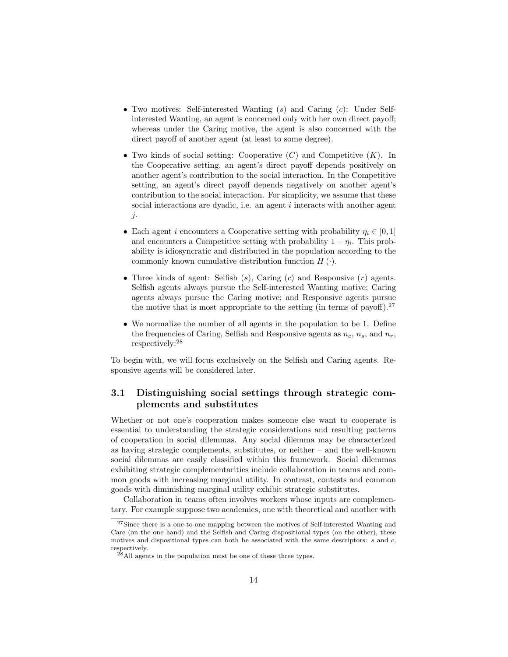- Two motives: Self-interested Wanting (s) and Caring (c): Under Selfinterested Wanting, an agent is concerned only with her own direct payoff; whereas under the Caring motive, the agent is also concerned with the direct payoff of another agent (at least to some degree).
- Two kinds of social setting: Cooperative  $(C)$  and Competitive  $(K)$ . In the Cooperative setting, an agent's direct payoff depends positively on another agent's contribution to the social interaction. In the Competitive setting, an agent's direct payoff depends negatively on another agent's contribution to the social interaction. For simplicity, we assume that these social interactions are dyadic, i.e. an agent  $i$  interacts with another agent  $j$ .
- Each agent i encounters a Cooperative setting with probability  $\eta_i \in [0,1]$ and encounters a Competitive setting with probability  $1 - \eta_i$ . This probability is idiosyncratic and distributed in the population according to the commonly known cumulative distribution function  $H(\cdot)$ .
- Three kinds of agent: Selfish  $(s)$ , Caring  $(c)$  and Responsive  $(r)$  agents. Selfish agents always pursue the Self-interested Wanting motive; Caring agents always pursue the Caring motive; and Responsive agents pursue the motive that is most appropriate to the setting (in terms of payoff).<sup>27</sup>
- We normalize the number of all agents in the population to be 1. Define the frequencies of Caring, Selfish and Responsive agents as  $n_c$ ,  $n_s$ , and  $n_r$ , respectively:<sup>28</sup>

To begin with, we will focus exclusively on the Selfish and Caring agents. Responsive agents will be considered later.

### 3.1 Distinguishing social settings through strategic complements and substitutes

Whether or not one's cooperation makes someone else want to cooperate is essential to understanding the strategic considerations and resulting patterns of cooperation in social dilemmas. Any social dilemma may be characterized as having strategic complements, substitutes, or neither – and the well-known social dilemmas are easily classified within this framework. Social dilemmas exhibiting strategic complementarities include collaboration in teams and common goods with increasing marginal utility. In contrast, contests and common goods with diminishing marginal utility exhibit strategic substitutes.

Collaboration in teams often involves workers whose inputs are complementary. For example suppose two academics, one with theoretical and another with

<sup>27</sup>Since there is a one-to-one mapping between the motives of Self-interested Wanting and Care (on the one hand) and the Selfish and Caring dispositional types (on the other), these motives and dispositional types can both be associated with the same descriptors: s and c, respectively.

<sup>&</sup>lt;sup>28</sup>All agents in the population must be one of these three types.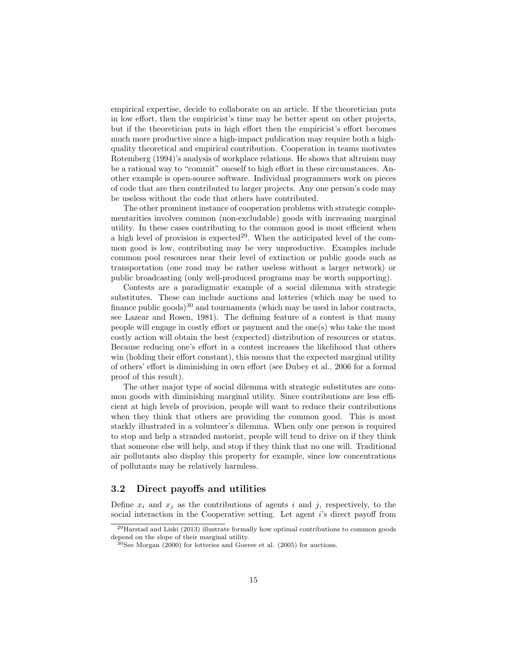empirical expertise, decide to collaborate on an article. If the theoretician puts in low effort, then the empiricist's time may be better spent on other projects, but if the theoretician puts in high effort then the empiricist's effort becomes much more productive since a high-impact publication may require both a highquality theoretical and empirical contribution. Cooperation in teams motivates Rotemberg (1994)'s analysis of workplace relations. He shows that altruism may be a rational way to "commit" oneself to high effort in these circumstances. Another example is open-source software. Individual programmers work on pieces of code that are then contributed to larger projects. Any one person's code may be useless without the code that others have contributed.

The other prominent instance of cooperation problems with strategic complementarities involves common (non-excludable) goods with increasing marginal utility. In these cases contributing to the common good is most efficient when a high level of provision is expected<sup>29</sup>. When the anticipated level of the common good is low, contributing may be very unproductive. Examples include common pool resources near their level of extinction or public goods such as transportation (one road may be rather useless without a larger network) or public broadcasting (only well-produced programs may be worth supporting).

Contests are a paradigmatic example of a social dilemma with strategic substitutes. These can include auctions and lotteries (which may be used to finance public goods)<sup>30</sup> and tournaments (which may be used in labor contracts, see Lazear and Rosen, 1981). The defining feature of a contest is that many people will engage in costly effort or payment and the one(s) who take the most costly action will obtain the best (expected) distribution of resources or status. Because reducing one's effort in a contest increases the likelihood that others win (holding their effort constant), this means that the expected marginal utility of others' effort is diminishing in own effort (see Dubey et al., 2006 for a formal proof of this result).

The other major type of social dilemma with strategic substitutes are common goods with diminishing marginal utility. Since contributions are less efficient at high levels of provision, people will want to reduce their contributions when they think that others are providing the common good. This is most starkly illustrated in a volunteer's dilemma. When only one person is required to stop and help a stranded motorist, people will tend to drive on if they think that someone else will help, and stop if they think that no one will. Traditional air pollutants also display this property for example, since low concentrations of pollutants may be relatively harmless.

#### 3.2 Direct payoffs and utilities

Define  $x_i$  and  $x_j$  as the contributions of agents i and j, respectively, to the social interaction in the Cooperative setting. Let agent i's direct payoff from

<sup>&</sup>lt;sup>29</sup>Harstad and Liski (2013) illustrate formally how optimal contributions to common goods depend on the slope of their marginal utility.

 $30$ See Morgan (2000) for lotteries and Goeree et al. (2005) for auctions.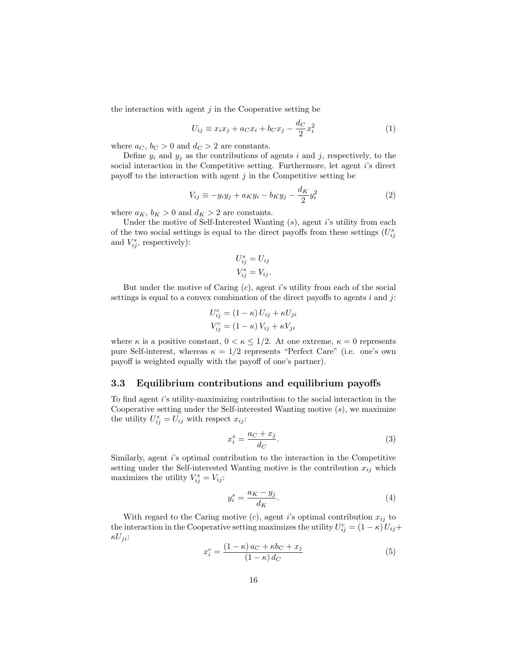the interaction with agent  $j$  in the Cooperative setting be

$$
U_{ij} \equiv x_i x_j + a_C x_i + b_C x_j - \frac{d_C}{2} x_i^2 \tag{1}
$$

where  $a_C$ ,  $b_C > 0$  and  $d_C > 2$  are constants.

Define  $y_i$  and  $y_j$  as the contributions of agents i and j, respectively, to the social interaction in the Competitive setting. Furthermore, let agent i's direct payoff to the interaction with agent  $j$  in the Competitive setting be

$$
V_{ij} \equiv -y_i y_j + a_K y_i - b_K y_j - \frac{d_K}{2} y_i^2 \tag{2}
$$

where  $a_K$ ,  $b_K > 0$  and  $d_K > 2$  are constants.

Under the motive of Self-Interested Wanting  $(s)$ , agent is utility from each of the two social settings is equal to the direct payoffs from these settings  $(U_{ij}^s)$ and  $V_{ij}^s$ , respectively):

$$
U_{ij}^s = U_{ij}
$$
  

$$
V_{ij}^s = V_{ij}.
$$

But under the motive of Caring  $(c)$ , agent is utility from each of the social settings is equal to a convex combination of the direct payoffs to agents  $i$  and  $j$ :

$$
U_{ij}^{c} = (1 - \kappa) U_{ij} + \kappa U_{ji}
$$
  

$$
V_{ij}^{c} = (1 - \kappa) V_{ij} + \kappa V_{ji}
$$

where  $\kappa$  is a positive constant,  $0 < \kappa \leq 1/2$ . At one extreme,  $\kappa = 0$  represents pure Self-interest, whereas  $\kappa = 1/2$  represents "Perfect Care" (i.e. one's own payoff is weighted equally with the payoff of one's partner).

#### 3.3 Equilibrium contributions and equilibrium payoffs

To find agent i's utility-maximizing contribution to the social interaction in the Cooperative setting under the Self-interested Wanting motive  $(s)$ , we maximize the utility  $U_{ij}^s = U_{ij}$  with respect  $x_{ij}$ :

$$
x_i^s = \frac{a_C + x_j}{d_C}.\tag{3}
$$

Similarly, agent i's optimal contribution to the interaction in the Competitive setting under the Self-interested Wanting motive is the contribution  $x_{ij}$  which maximizes the utility  $V_{ij}^s = V_{ij}$ :

$$
y_i^s = \frac{a_K - y_j}{d_K}.\tag{4}
$$

With regard to the Caring motive  $(c)$ , agent i's optimal contribution  $x_{ij}$  to the interaction in the Cooperative setting maximizes the utility  $U_{ij}^c = (1 - \kappa) U_{ij} +$  $\kappa U_{ji}$ :

$$
x_i^c = \frac{(1 - \kappa) a_C + \kappa b_C + x_j}{(1 - \kappa) d_C} \tag{5}
$$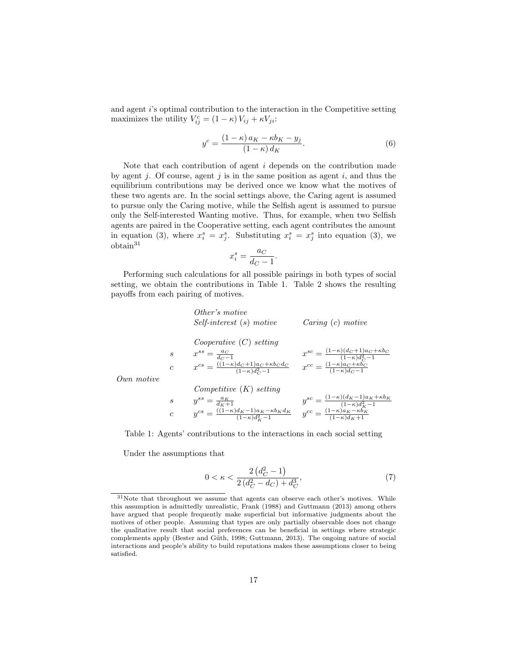and agent i's optimal contribution to the interaction in the Competitive setting maximizes the utility  $V_{ij}^c = (1 - \kappa) V_{ij} + \kappa V_{ji}$ :

$$
y^{c} = \frac{(1 - \kappa) a_{K} - \kappa b_{K} - y_{j}}{(1 - \kappa) d_{K}}.\tag{6}
$$

Note that each contribution of agent i depends on the contribution made by agent j. Of course, agent j is in the same position as agent  $i$ , and thus the equilibrium contributions may be derived once we know what the motives of these two agents are. In the social settings above, the Caring agent is assumed to pursue only the Caring motive, while the Selfish agent is assumed to pursue only the Self-interested Wanting motive. Thus, for example, when two Selfish agents are paired in the Cooperative setting, each agent contributes the amount in equation (3), where  $x_i^s = x_j^s$ . Substituting  $x_i^s = x_j^s$  into equation (3), we obtain<sup>31</sup>

$$
x_i^s = \frac{a_C}{d_C - 1}.
$$

Performing such calculations for all possible pairings in both types of social setting, we obtain the contributions in Table 1. Table 2 shows the resulting payoffs from each pairing of motives.

Other's motive  
\nSelf-interest (s) motive  
\nCooperative (C) setting  
\ns  
\n
$$
x^{ss} = \frac{ac}{d_C - 1}
$$
  
\nc  
\n $x^{cs} = \frac{((1 - \kappa)d_C + 1)a_C + \kappa b_C d_C}{(1 - \kappa)d_C^2 - 1}$   
\n $x^{cc} = \frac{(1 - \kappa)a_C + \kappa b_C d_C}{(1 - \kappa)d_C - 1}$   
\n $x^{cc} = \frac{(1 - \kappa)a_C + \kappa b_C d_C}{(1 - \kappa)d_C - 1}$ 

Own motive

$$
y^{ss} = \frac{a_K}{d_K + 1}
$$
\n
$$
y^{ss} = \frac{a_K}{(1 - \kappa)d_K - 1} \qquad y^{sc} = \frac{(1 - \kappa)(d_K - 1)a_K + \kappa b_K}{(1 - \kappa)d_K^2 - 1}
$$
\n
$$
y^{cs} = \frac{((1 - \kappa)d_K - 1)a_K - \kappa b_K d_K}{(1 - \kappa)d_K^2 - 1} \qquad y^{cc} = \frac{(1 - \kappa)a_K - \kappa b_K}{(1 - \kappa)d_K + 1}
$$

Table 1: Agents' contributions to the interactions in each social setting

Under the assumptions that

$$
0 < \kappa < \frac{2\left(d_C^2 - 1\right)}{2\left(d_C^2 - d_C\right) + d_C^3},\tag{7}
$$

<sup>31</sup>Note that throughout we assume that agents can observe each other's motives. While this assumption is admittedly unrealistic, Frank (1988) and Guttmann (2013) among others have argued that people frequently make superficial but informative judgments about the motives of other people. Assuming that types are only partially observable does not change the qualitative result that social preferences can be beneficial in settings where strategic complements apply (Bester and Güth, 1998; Guttmann, 2013). The ongoing nature of social interactions and people's ability to build reputations makes these assumptions closer to being satisfied.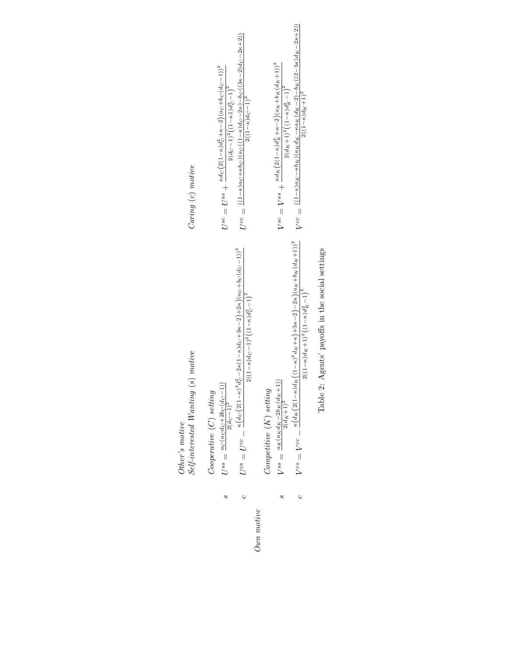| Caring (c) motive                                       | $U^{cc} = \frac{((1 - \kappa) a_C + \kappa b_C)(a_C ((1 - \kappa) d_C - 2 \kappa) - b_C ((3 \kappa - 2) d_C - 2 \kappa + 2))}{(1 - \kappa) c_C + \kappa b_C}$<br>$U^{sc} = U^{ss} + \frac{\kappa d_C (2(1-\kappa) d_C^2 + \kappa - 2) (a_C + b_C (d_C - 1))^2}{2}$<br>$2(d_C-1)^2((1-\kappa 1)d_C^2-1)^2$<br>$2((1-\kappa)d_C-1)^2$ | $V^{cc}=\frac{((1-\kappa)a_{K}-\kappa b_{K})(a_{K}d_{K}-\kappa a_{K}(d_{K}-2)-b_{K}((2-3\kappa)d_{K}-2\kappa+2))}{(1-\kappa)a_{K}(\kappa+a_{K}+2)}$<br>$V^{sc} = V^{ss} + \frac{\kappa d_K (2(1-\kappa) d_K^2 + \kappa - 2) (a_K + b_K (d_K + 1))^2}{\kappa}$<br>$2(d_K+1)^2((1-\kappa)d_K^2-1)^2$<br>$2((1-\kappa)d_{K}+1)^{2}$ |                                                    |  |  |  |
|---------------------------------------------------------|-------------------------------------------------------------------------------------------------------------------------------------------------------------------------------------------------------------------------------------------------------------------------------------------------------------------------------------|----------------------------------------------------------------------------------------------------------------------------------------------------------------------------------------------------------------------------------------------------------------------------------------------------------------------------------|----------------------------------------------------|--|--|--|
| (s) motive<br>Self-interested Wanting<br>Other's motive | $U^{cs} = U^{cc} - \frac{\kappa (d_{C} (2(1-\kappa)^{3}d_{C}^{2} - 2\kappa (1-\kappa)d_{C} + 3\kappa - 2) + 2\kappa) (a_{C} + b_{C} (d_{C} - 1))^{2}}{2\kappa}$<br>$2((1-\kappa)d_C-1)^2((1-\kappa)d_C^2-1)^2$<br>$U^{ss} = \frac{a_C(a_C d_C + 2b_C(d_C - 1))}{2(d_C - 1)^2}$<br>$Cooperative(C)$ setting                          | $V^{cs} = V^{cc} - \frac{\kappa (d_K (2(1-\kappa) d_K ((1-\kappa)^2 d_K + \kappa) + 3\kappa - 2) - 2\kappa) (a_K + b_K (d_K + 1))^2}{}$<br>$2((1-\kappa)d_K+1)^2\left((1-\kappa)d_K^2-1\right)^2$<br>$V^{ss} = \frac{a_K(a_K - 2b_K(d_K + 1))}{2(d_K + 1)^2}$<br>$\emph{Compute}$ $(K)$ setting                                  | 2: Agents' payoffs in the social settings<br>Table |  |  |  |
|                                                         | $\circ$<br>S                                                                                                                                                                                                                                                                                                                        | $\circ$<br>c,                                                                                                                                                                                                                                                                                                                    |                                                    |  |  |  |
| Own motive                                              |                                                                                                                                                                                                                                                                                                                                     |                                                                                                                                                                                                                                                                                                                                  |                                                    |  |  |  |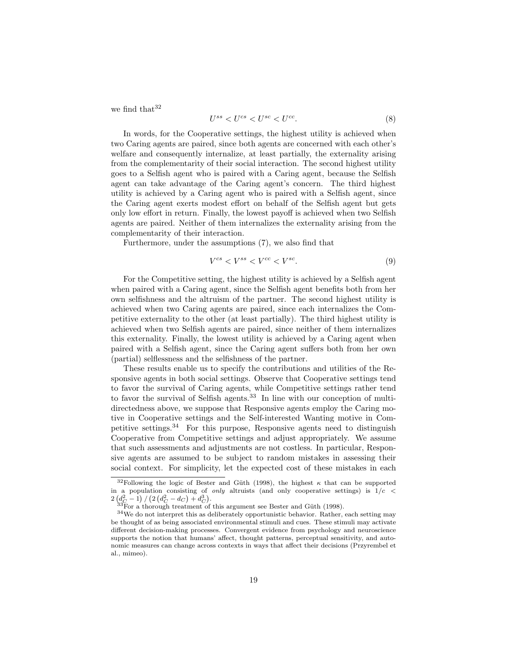we find that  $32$ 

$$
U^{ss} < U^{cs} < U^{sc} < U^{cc}.\tag{8}
$$

In words, for the Cooperative settings, the highest utility is achieved when two Caring agents are paired, since both agents are concerned with each other's welfare and consequently internalize, at least partially, the externality arising from the complementarity of their social interaction. The second highest utility goes to a Selfish agent who is paired with a Caring agent, because the Selfish agent can take advantage of the Caring agent's concern. The third highest utility is achieved by a Caring agent who is paired with a Selfish agent, since the Caring agent exerts modest effort on behalf of the Selfish agent but gets only low effort in return. Finally, the lowest payoff is achieved when two Selfish agents are paired. Neither of them internalizes the externality arising from the complementarity of their interaction.

Furthermore, under the assumptions (7), we also find that

$$
V^{cs} < V^{ss} < V^{cc} < V^{sc}.\tag{9}
$$

For the Competitive setting, the highest utility is achieved by a Selfish agent when paired with a Caring agent, since the Selfish agent benefits both from her own selfishness and the altruism of the partner. The second highest utility is achieved when two Caring agents are paired, since each internalizes the Competitive externality to the other (at least partially). The third highest utility is achieved when two Selfish agents are paired, since neither of them internalizes this externality. Finally, the lowest utility is achieved by a Caring agent when paired with a Selfish agent, since the Caring agent suffers both from her own (partial) selflessness and the selfishness of the partner.

These results enable us to specify the contributions and utilities of the Responsive agents in both social settings. Observe that Cooperative settings tend to favor the survival of Caring agents, while Competitive settings rather tend to favor the survival of Selfish agents. $33$  In line with our conception of multidirectedness above, we suppose that Responsive agents employ the Caring motive in Cooperative settings and the Self-interested Wanting motive in Competitive settings.<sup>34</sup> For this purpose, Responsive agents need to distinguish Cooperative from Competitive settings and adjust appropriately. We assume that such assessments and adjustments are not costless. In particular, Responsive agents are assumed to be subject to random mistakes in assessing their social context. For simplicity, let the expected cost of these mistakes in each

<sup>&</sup>lt;sup>32</sup>Following the logic of Bester and Güth (1998), the highest  $\kappa$  that can be supported in a population consisting of *only* altruists (and only cooperative settings) is  $1/c <$  $2\left(\frac{d_{C}^{2}}{d_{C}}-1\right)/\left(2\left(d_{C}^{2}-d_{C}\right)+d_{C}^{3}\right).$ 

 $33$ For a thorough treatment of this argument see Bester and Güth (1998).

<sup>34</sup>We do not interpret this as deliberately opportunistic behavior. Rather, each setting may be thought of as being associated environmental stimuli and cues. These stimuli may activate different decision-making processes. Convergent evidence from psychology and neuroscience supports the notion that humans' affect, thought patterns, perceptual sensitivity, and autonomic measures can change across contexts in ways that affect their decisions (Przyrembel et al., mimeo).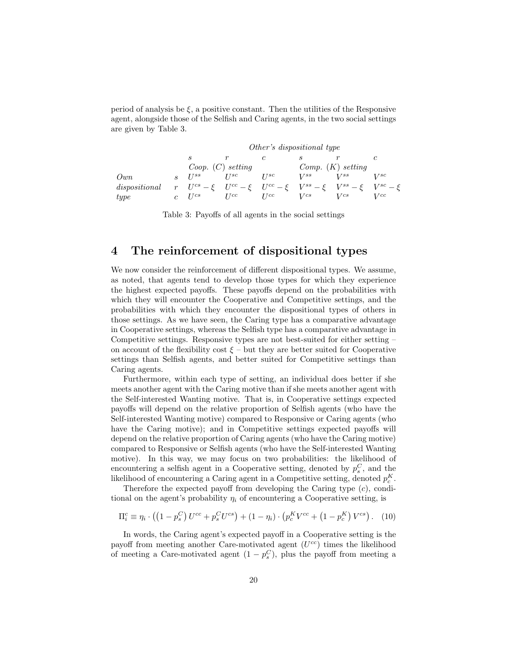period of analysis be  $\xi$ , a positive constant. Then the utilities of the Responsive agent, alongside those of the Selfish and Caring agents, in the two social settings are given by Table 3.

|               | Other's dispositional type |           |                |                                                                                |                             |                       |  |  |
|---------------|----------------------------|-----------|----------------|--------------------------------------------------------------------------------|-----------------------------|-----------------------|--|--|
|               |                            |           |                |                                                                                |                             |                       |  |  |
|               | Coop. (C) setting          |           |                | Comp. (K) setting                                                              |                             |                       |  |  |
| Own           | $II^{ss}$                  | $_{TISC}$ | $_{\it T}$ rsc | I/ss                                                                           | $_{\rm I/SS}$               | $V^{sc}$              |  |  |
| dispositional |                            |           |                | $r$ $U^{cs} - \xi$ $U^{cc} - \xi$ $U^{cc} - \xi$ $V^{ss} - \xi$ $V^{ss} - \xi$ |                             | $V^{sc} - \xi$        |  |  |
| type          | $II^{cs}$                  | TTCC      | TTCC           | $_{\mathrm{T}}$                                                                | $_{\mathrm{I}/\mathrm{C}S}$ | $_{\mathrm{I}^{7CC}}$ |  |  |

Table 3: Payoffs of all agents in the social settings

## 4 The reinforcement of dispositional types

We now consider the reinforcement of different dispositional types. We assume, as noted, that agents tend to develop those types for which they experience the highest expected payoffs. These payoffs depend on the probabilities with which they will encounter the Cooperative and Competitive settings, and the probabilities with which they encounter the dispositional types of others in those settings. As we have seen, the Caring type has a comparative advantage in Cooperative settings, whereas the Selfish type has a comparative advantage in Competitive settings. Responsive types are not best-suited for either setting – on account of the flexibility cost  $\xi$  – but they are better suited for Cooperative settings than Selfish agents, and better suited for Competitive settings than Caring agents.

Furthermore, within each type of setting, an individual does better if she meets another agent with the Caring motive than if she meets another agent with the Self-interested Wanting motive. That is, in Cooperative settings expected payoffs will depend on the relative proportion of Selfish agents (who have the Self-interested Wanting motive) compared to Responsive or Caring agents (who have the Caring motive); and in Competitive settings expected payoffs will depend on the relative proportion of Caring agents (who have the Caring motive) compared to Responsive or Selfish agents (who have the Self-interested Wanting motive). In this way, we may focus on two probabilities: the likelihood of encountering a selfish agent in a Cooperative setting, denoted by  $p_s^C$ , and the likelihood of encountering a Caring agent in a Competitive setting, denoted  $p_c^K$ .

Therefore the expected payoff from developing the Caring type  $(c)$ , conditional on the agent's probability  $\eta_i$  of encountering a Cooperative setting, is

$$
\Pi_i^c \equiv \eta_i \cdot \left( \left( 1 - p_s^C \right) U^{cc} + p_s^C U^{cs} \right) + \left( 1 - \eta_i \right) \cdot \left( p_c^K V^{cc} + \left( 1 - p_c^K \right) V^{cs} \right). \tag{10}
$$

In words, the Caring agent's expected payoff in a Cooperative setting is the payoff from meeting another Care-motivated agent  $(U^{cc})$  times the likelihood of meeting a Care-motivated agent  $(1 - p_s^C)$ , plus the payoff from meeting a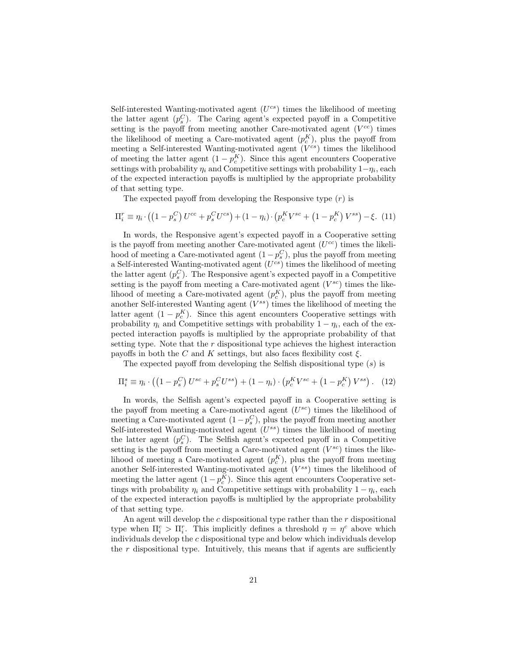Self-interested Wanting-motivated agent  $(U^{cs})$  times the likelihood of meeting the latter agent  $(p_s^C)$ . The Caring agent's expected payoff in a Competitive setting is the payoff from meeting another Care-motivated agent  $(V^{cc})$  times the likelihood of meeting a Care-motivated agent  $(p_c^K)$ , plus the payoff from meeting a Self-interested Wanting-motivated agent  $(V^{cs})$  times the likelihood of meeting the latter agent  $(1 - p_c^K)$ . Since this agent encounters Cooperative settings with probability  $\eta_i$  and Competitive settings with probability  $1-\eta_i$ , each of the expected interaction payoffs is multiplied by the appropriate probability of that setting type.

The expected payoff from developing the Responsive type  $(r)$  is

$$
\Pi_i^r \equiv \eta_i \cdot \left( \left( 1 - p_s^C \right) U^{cc} + p_s^C U^{cs} \right) + \left( 1 - \eta_i \right) \cdot \left( p_c^K V^{sc} + \left( 1 - p_c^K \right) V^{ss} \right) - \xi. \tag{11}
$$

In words, the Responsive agent's expected payoff in a Cooperative setting is the payoff from meeting another Care-motivated agent  $(U^{cc})$  times the likelihood of meeting a Care-motivated agent  $(1 - p_s^C)$ , plus the payoff from meeting a Self-interested Wanting-motivated agent  $(U^{cs})$  times the likelihood of meeting the latter agent  $(p_s^C)$ . The Responsive agent's expected payoff in a Competitive setting is the payoff from meeting a Care-motivated agent  $(V^{sc})$  times the likelihood of meeting a Care-motivated agent  $(p_c^K)$ , plus the payoff from meeting another Self-interested Wanting agent  $(V^{ss})$  times the likelihood of meeting the latter agent  $(1 - p_c^K)$ . Since this agent encounters Cooperative settings with probability  $\eta_i$  and Competitive settings with probability  $1 - \eta_i$ , each of the expected interaction payoffs is multiplied by the appropriate probability of that setting type. Note that the r dispositional type achieves the highest interaction payoffs in both the C and K settings, but also faces flexibility cost  $\xi$ .

The expected payoff from developing the Selfish dispositional type  $(s)$  is

$$
\Pi_i^s \equiv \eta_i \cdot \left( \left( 1 - p_s^C \right) U^{sc} + p_s^C U^{ss} \right) + (1 - \eta_i) \cdot \left( p_c^K V^{sc} + \left( 1 - p_c^K \right) V^{ss} \right). \tag{12}
$$

In words, the Selfish agent's expected payoff in a Cooperative setting is the payoff from meeting a Care-motivated agent  $(U^{sc})$  times the likelihood of meeting a Care-motivated agent  $(1 - p_s^C)$ , plus the payoff from meeting another Self-interested Wanting-motivated agent  $(U^{ss})$  times the likelihood of meeting the latter agent  $(p_s^C)$ . The Selfish agent's expected payoff in a Competitive setting is the payoff from meeting a Care-motivated agent  $(V^{sc})$  times the likelihood of meeting a Care-motivated agent  $(p_c^K)$ , plus the payoff from meeting another Self-interested Wanting-motivated agent  $(V^{ss})$  times the likelihood of meeting the latter agent  $(1 - p_c^K)$ . Since this agent encounters Cooperative settings with probability  $\eta_i$  and Competitive settings with probability  $1 - \eta_i$ , each of the expected interaction payoffs is multiplied by the appropriate probability of that setting type.

An agent will develop the  $c$  dispositional type rather than the  $r$  dispositional type when  $\Pi_i^c > \Pi_i^r$ . This implicitly defines a threshold  $\eta = \eta^c$  above which individuals develop the  $c$  dispositional type and below which individuals develop the  $r$  dispositional type. Intuitively, this means that if agents are sufficiently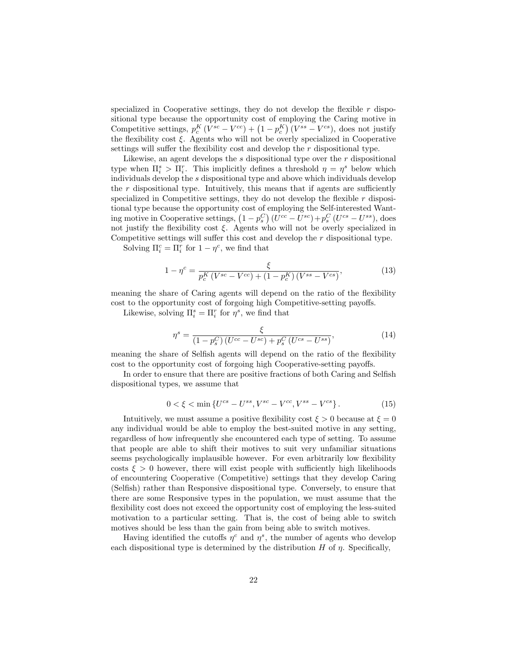specialized in Cooperative settings, they do not develop the flexible  $r$  dispositional type because the opportunity cost of employing the Caring motive in Competitive settings,  $p_c^K(V^{sc} - V^{cc}) + (1 - p_c^K)(V^{ss} - V^{cs})$ , does not justify the flexibility cost  $\xi$ . Agents who will not be overly specialized in Cooperative settings will suffer the flexibility cost and develop the r dispositional type.

Likewise, an agent develops the  $s$  dispositional type over the  $r$  dispositional type when  $\Pi_i^s > \Pi_i^r$ . This implicitly defines a threshold  $\eta = \eta^s$  below which individuals develop the s dispositional type and above which individuals develop the  $r$  dispositional type. Intuitively, this means that if agents are sufficiently specialized in Competitive settings, they do not develop the flexible  $r$  dispositional type because the opportunity cost of employing the Self-interested Wanting motive in Cooperative settings,  $(1-p_s^C)(U^{cc}-U^{sc})+p_s^C(U^{cs}-U^{ss}),$  does not justify the flexibility cost  $\xi$ . Agents who will not be overly specialized in Competitive settings will suffer this cost and develop the  $r$  dispositional type.

Solving  $\Pi_i^c = \Pi_i^r$  for  $1 - \eta^c$ , we find that

$$
1 - \eta^{c} = \frac{\xi}{p_{c}^{K} \left( V^{sc} - V^{cc} \right) + \left( 1 - p_{c}^{K} \right) \left( V^{ss} - V^{cs} \right)},\tag{13}
$$

meaning the share of Caring agents will depend on the ratio of the flexibility cost to the opportunity cost of forgoing high Competitive-setting payoffs.

Likewise, solving  $\Pi_i^s = \Pi_i^r$  for  $\eta^s$ , we find that

$$
\eta^{s} = \frac{\xi}{(1 - p_{s}^{C})(U^{cc} - U^{sc}) + p_{s}^{C}(U^{cs} - U^{ss})},
$$
\n(14)

meaning the share of Selfish agents will depend on the ratio of the flexibility cost to the opportunity cost of forgoing high Cooperative-setting payoffs.

In order to ensure that there are positive fractions of both Caring and Selfish dispositional types, we assume that

$$
0 < \xi < \min \left\{ U^{cs} - U^{ss}, V^{sc} - V^{cc}, V^{ss} - V^{cs} \right\}. \tag{15}
$$

Intuitively, we must assume a positive flexibility cost  $\xi > 0$  because at  $\xi = 0$ any individual would be able to employ the best-suited motive in any setting, regardless of how infrequently she encountered each type of setting. To assume that people are able to shift their motives to suit very unfamiliar situations seems psychologically implausible however. For even arbitrarily low flexibility costs  $\xi > 0$  however, there will exist people with sufficiently high likelihoods of encountering Cooperative (Competitive) settings that they develop Caring (Selfish) rather than Responsive dispositional type. Conversely, to ensure that there are some Responsive types in the population, we must assume that the flexibility cost does not exceed the opportunity cost of employing the less-suited motivation to a particular setting. That is, the cost of being able to switch motives should be less than the gain from being able to switch motives.

Having identified the cutoffs  $\eta^c$  and  $\eta^s$ , the number of agents who develop each dispositional type is determined by the distribution  $H$  of  $\eta$ . Specifically,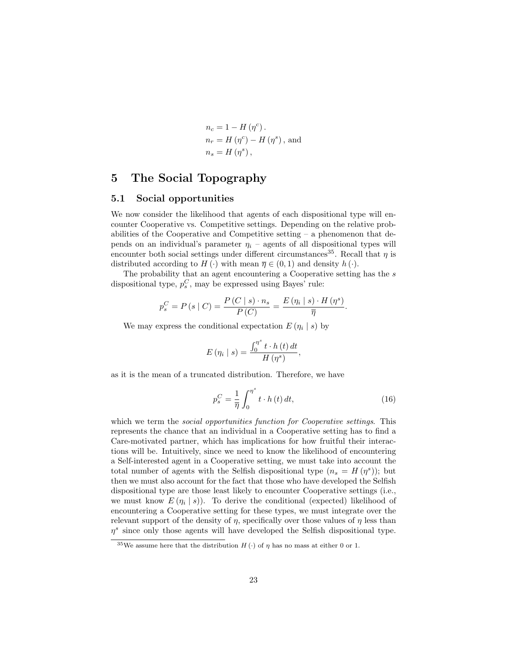$$
n_c = 1 - H(\eta^c).
$$
  
\n
$$
n_r = H(\eta^c) - H(\eta^s),
$$
 and  
\n
$$
n_s = H(\eta^s),
$$

### 5 The Social Topography

#### 5.1 Social opportunities

We now consider the likelihood that agents of each dispositional type will encounter Cooperative vs. Competitive settings. Depending on the relative probabilities of the Cooperative and Competitive setting  $-$  a phenomenon that depends on an individual's parameter  $\eta_i$  – agents of all dispositional types will encounter both social settings under different circumstances<sup>35</sup>. Recall that  $\eta$  is distributed according to  $H(\cdot)$  with mean  $\overline{\eta} \in (0,1)$  and density  $h(\cdot)$ .

The probability that an agent encountering a Cooperative setting has the s dispositional type,  $p_s^C$ , may be expressed using Bayes' rule:

$$
p_s^C = P(s | C) = \frac{P(C | s) \cdot n_s}{P(C)} = \frac{E(\eta_i | s) \cdot H(\eta^s)}{\overline{\eta}}.
$$

We may express the conditional expectation  $E(\eta_i | s)$  by

$$
E(\eta_i \mid s) = \frac{\int_0^{\eta^s} t \cdot h(t) dt}{H(\eta^s)},
$$

as it is the mean of a truncated distribution. Therefore, we have

$$
p_s^C = \frac{1}{\overline{\eta}} \int_0^{\eta^s} t \cdot h(t) dt,
$$
\n(16)

which we term the *social opportunities function for Cooperative settings*. This represents the chance that an individual in a Cooperative setting has to find a Care-motivated partner, which has implications for how fruitful their interactions will be. Intuitively, since we need to know the likelihood of encountering a Self-interested agent in a Cooperative setting, we must take into account the total number of agents with the Selfish dispositional type  $(n_s = H(\eta^s))$ ; but then we must also account for the fact that those who have developed the Selfish dispositional type are those least likely to encounter Cooperative settings (i.e., we must know  $E(\eta_i | s)$ . To derive the conditional (expected) likelihood of encountering a Cooperative setting for these types, we must integrate over the relevant support of the density of  $\eta$ , specifically over those values of  $\eta$  less than  $\eta^s$  since only those agents will have developed the Selfish dispositional type.

<sup>&</sup>lt;sup>35</sup>We assume here that the distribution  $H(\cdot)$  of  $\eta$  has no mass at either 0 or 1.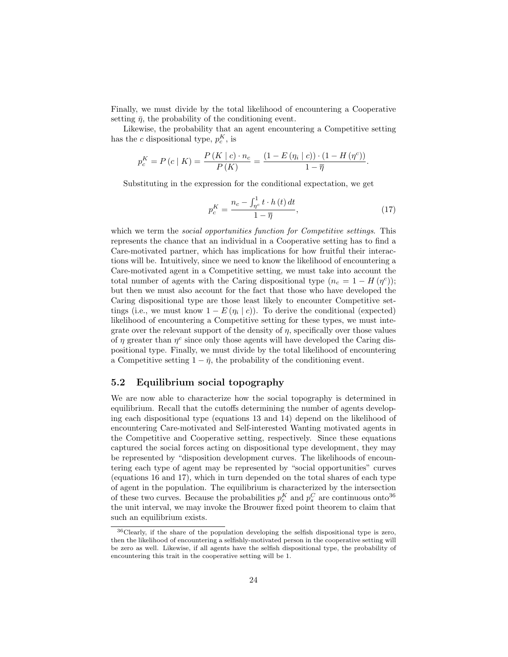Finally, we must divide by the total likelihood of encountering a Cooperative setting  $\bar{\eta}$ , the probability of the conditioning event.

Likewise, the probability that an agent encountering a Competitive setting has the c dispositional type,  $p_c^K$ , is

$$
p_c^K = P(c | K) = \frac{P(K | c) \cdot n_c}{P(K)} = \frac{(1 - E(\eta_i | c)) \cdot (1 - H(\eta^c))}{1 - \overline{\eta}}.
$$

Substituting in the expression for the conditional expectation, we get

$$
p_c^K = \frac{n_c - \int_{\eta_c}^1 t \cdot h(t) \, dt}{1 - \overline{\eta}},\tag{17}
$$

which we term the *social opportunities function for Competitive settings*. This represents the chance that an individual in a Cooperative setting has to find a Care-motivated partner, which has implications for how fruitful their interactions will be. Intuitively, since we need to know the likelihood of encountering a Care-motivated agent in a Competitive setting, we must take into account the total number of agents with the Caring dispositional type  $(n_c = 1 - H(\eta^c));$ but then we must also account for the fact that those who have developed the Caring dispositional type are those least likely to encounter Competitive settings (i.e., we must know  $1 - E(\eta_i \mid c)$ ). To derive the conditional (expected) likelihood of encountering a Competitive setting for these types, we must integrate over the relevant support of the density of  $\eta$ , specifically over those values of  $\eta$  greater than  $\eta^c$  since only those agents will have developed the Caring dispositional type. Finally, we must divide by the total likelihood of encountering a Competitive setting  $1 - \bar{\eta}$ , the probability of the conditioning event.

#### 5.2 Equilibrium social topography

We are now able to characterize how the social topography is determined in equilibrium. Recall that the cutoffs determining the number of agents developing each dispositional type (equations 13 and 14) depend on the likelihood of encountering Care-motivated and Self-interested Wanting motivated agents in the Competitive and Cooperative setting, respectively. Since these equations captured the social forces acting on dispositional type development, they may be represented by "disposition development curves. The likelihoods of encountering each type of agent may be represented by "social opportunities" curves (equations 16 and 17), which in turn depended on the total shares of each type of agent in the population. The equilibrium is characterized by the intersection of these two curves. Because the probabilities  $p_c^K$  and  $p_s^C$  are continuous onto<sup>36</sup> the unit interval, we may invoke the Brouwer fixed point theorem to claim that such an equilibrium exists.

<sup>36</sup>Clearly, if the share of the population developing the selfish dispositional type is zero, then the likelihood of encountering a selfishly-motivated person in the cooperative setting will be zero as well. Likewise, if all agents have the selfish dispositional type, the probability of encountering this trait in the cooperative setting will be 1.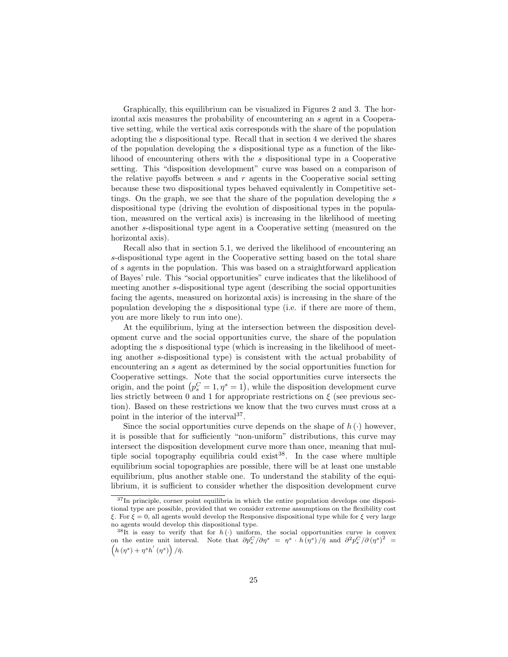Graphically, this equilibrium can be visualized in Figures 2 and 3. The horizontal axis measures the probability of encountering an s agent in a Cooperative setting, while the vertical axis corresponds with the share of the population adopting the s dispositional type. Recall that in section 4 we derived the shares of the population developing the s dispositional type as a function of the likelihood of encountering others with the s dispositional type in a Cooperative setting. This "disposition development" curve was based on a comparison of the relative payoffs between  $s$  and  $r$  agents in the Cooperative social setting because these two dispositional types behaved equivalently in Competitive settings. On the graph, we see that the share of the population developing the s dispositional type (driving the evolution of dispositional types in the population, measured on the vertical axis) is increasing in the likelihood of meeting another s-dispositional type agent in a Cooperative setting (measured on the horizontal axis).

Recall also that in section 5.1, we derived the likelihood of encountering an s-dispositional type agent in the Cooperative setting based on the total share of s agents in the population. This was based on a straightforward application of Bayes' rule. This "social opportunities" curve indicates that the likelihood of meeting another s-dispositional type agent (describing the social opportunities facing the agents, measured on horizontal axis) is increasing in the share of the population developing the s dispositional type (i.e. if there are more of them, you are more likely to run into one).

At the equilibrium, lying at the intersection between the disposition development curve and the social opportunities curve, the share of the population adopting the s dispositional type (which is increasing in the likelihood of meeting another s-dispositional type) is consistent with the actual probability of encountering an s agent as determined by the social opportunities function for Cooperative settings. Note that the social opportunities curve intersects the origin, and the point  $(p_s^C = 1, \eta^s = 1)$ , while the disposition development curve lies strictly between 0 and 1 for appropriate restrictions on  $\xi$  (see previous section). Based on these restrictions we know that the two curves must cross at a point in the interior of the interval<sup>37</sup>.

Since the social opportunities curve depends on the shape of  $h(\cdot)$  however, it is possible that for sufficiently "non-uniform" distributions, this curve may intersect the disposition development curve more than once, meaning that multiple social topography equilibria could exist  $38$ . In the case where multiple equilibrium social topographies are possible, there will be at least one unstable equilibrium, plus another stable one. To understand the stability of the equilibrium, it is sufficient to consider whether the disposition development curve

<sup>37</sup>In principle, corner point equilibria in which the entire population develops one dispositional type are possible, provided that we consider extreme assumptions on the flexibility cost ξ. For  $\xi = 0$ , all agents would develop the Responsive dispositional type while for  $\xi$  very large no agents would develop this dispositional type.

<sup>&</sup>lt;sup>38</sup>It is easy to verify that for  $h(\cdot)$  uniform, the social opportunities curve is convex on the entire unit interval. Note that  $\partial p_s^C / \partial \eta^s = \eta^s \cdot h(\eta^s) / \bar{\eta}$  and  $\partial^2 p_s^C / \partial (\eta^s)^2 =$  $\left(h\left(\eta^{s}\right)+\eta^{s}h'\left(\eta^{s}\right)\right)/\bar{\eta}.$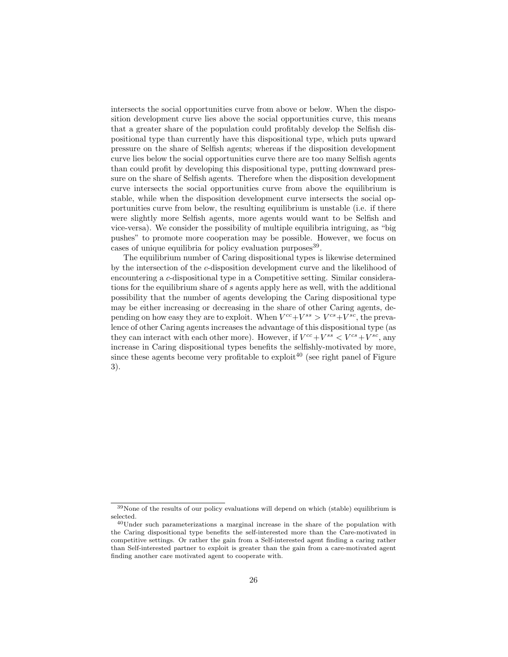intersects the social opportunities curve from above or below. When the disposition development curve lies above the social opportunities curve, this means that a greater share of the population could profitably develop the Selfish dispositional type than currently have this dispositional type, which puts upward pressure on the share of Selfish agents; whereas if the disposition development curve lies below the social opportunities curve there are too many Selfish agents than could profit by developing this dispositional type, putting downward pressure on the share of Selfish agents. Therefore when the disposition development curve intersects the social opportunities curve from above the equilibrium is stable, while when the disposition development curve intersects the social opportunities curve from below, the resulting equilibrium is unstable (i.e. if there were slightly more Selfish agents, more agents would want to be Selfish and vice-versa). We consider the possibility of multiple equilibria intriguing, as "big pushes" to promote more cooperation may be possible. However, we focus on cases of unique equilibria for policy evaluation purposes<sup>39</sup>.

The equilibrium number of Caring dispositional types is likewise determined by the intersection of the c-disposition development curve and the likelihood of encountering a c-dispositional type in a Competitive setting. Similar considerations for the equilibrium share of s agents apply here as well, with the additional possibility that the number of agents developing the Caring dispositional type may be either increasing or decreasing in the share of other Caring agents, depending on how easy they are to exploit. When  $V^{cc} + V^{ss} > V^{cs} + V^{sc}$ , the prevalence of other Caring agents increases the advantage of this dispositional type (as they can interact with each other more). However, if  $V^{cc} + V^{ss} < V^{cs} + V^{sc}$ , any increase in Caring dispositional types benefits the selfishly-motivated by more, since these agents become very profitable to  $\exp\{i\}^{40}$  (see right panel of Figure 3).

 $39$ None of the results of our policy evaluations will depend on which (stable) equilibrium is selected.

<sup>40</sup>Under such parameterizations a marginal increase in the share of the population with the Caring dispositional type benefits the self-interested more than the Care-motivated in competitive settings. Or rather the gain from a Self-interested agent finding a caring rather than Self-interested partner to exploit is greater than the gain from a care-motivated agent finding another care motivated agent to cooperate with.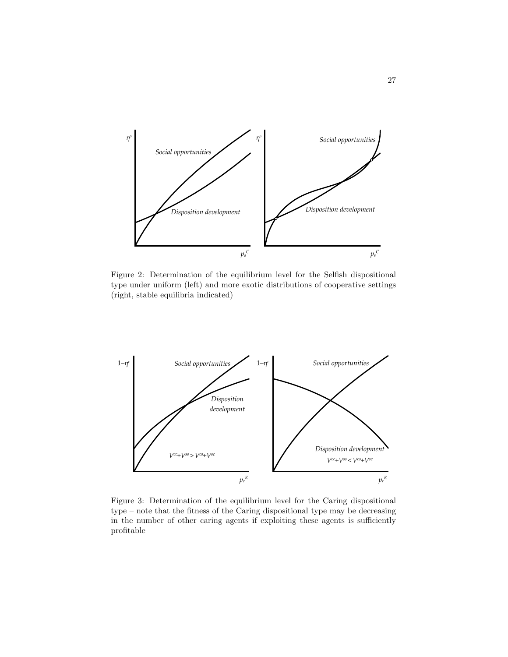

Figure 2: Determination of the equilibrium level for the Selfish dispositional type under uniform (left) and more exotic distributions of cooperative settings (right, stable equilibria indicated)



Figure 3: Determination of the equilibrium level for the Caring dispositional type – note that the fitness of the Caring dispositional type may be decreasing in the number of other caring agents if exploiting these agents is sufficiently profitable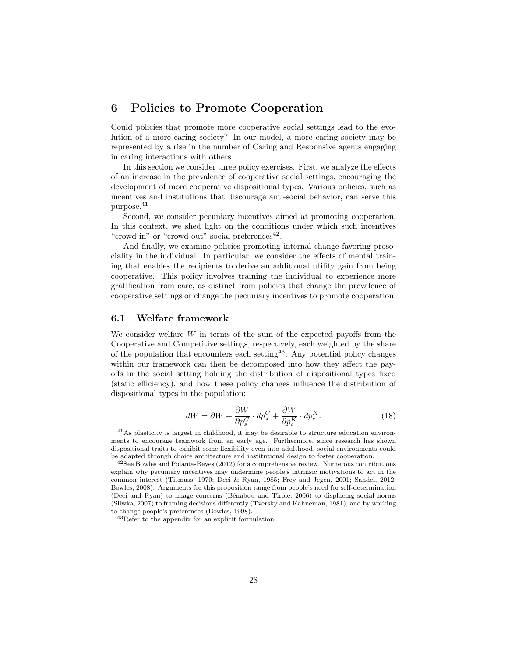## 6 Policies to Promote Cooperation

Could policies that promote more cooperative social settings lead to the evolution of a more caring society? In our model, a more caring society may be represented by a rise in the number of Caring and Responsive agents engaging in caring interactions with others.

In this section we consider three policy exercises. First, we analyze the effects of an increase in the prevalence of cooperative social settings, encouraging the development of more cooperative dispositional types. Various policies, such as incentives and institutions that discourage anti-social behavior, can serve this purpose.<sup>41</sup>

Second, we consider pecuniary incentives aimed at promoting cooperation. In this context, we shed light on the conditions under which such incentives "crowd-in" or "crowd-out" social preferences<sup>42</sup>.

And finally, we examine policies promoting internal change favoring prosociality in the individual. In particular, we consider the effects of mental training that enables the recipients to derive an additional utility gain from being cooperative. This policy involves training the individual to experience more gratification from care, as distinct from policies that change the prevalence of cooperative settings or change the pecuniary incentives to promote cooperation.

#### 6.1 Welfare framework

We consider welfare  $W$  in terms of the sum of the expected payoffs from the Cooperative and Competitive settings, respectively, each weighted by the share of the population that encounters each setting<sup>43</sup>. Any potential policy changes within our framework can then be decomposed into how they affect the payoffs in the social setting holding the distribution of dispositional types fixed (static efficiency), and how these policy changes influence the distribution of dispositional types in the population:

$$
dW = \partial W + \frac{\partial W}{\partial p_s^C} \cdot dp_s^C + \frac{\partial W}{\partial p_c^K} \cdot dp_c^K.
$$
 (18)

<sup>41</sup>As plasticity is largest in childhood, it may be desirable to structure education environments to encourage teamwork from an early age. Furthermore, since research has shown dispositional traits to exhibit some flexibility even into adulthood, social environments could be adapted through choice architecture and institutional design to foster cooperation.

 $42$ See Bowles and Polanía-Reyes (2012) for a comprehensive review. Numerous contributions explain why pecuniary incentives may undermine people's intrinsic motivations to act in the common interest (Titmuss, 1970; Deci & Ryan, 1985; Frey and Jegen, 2001; Sandel, 2012; Bowles, 2008). Arguments for this proposition range from people's need for self-determination (Deci and Ryan) to image concerns (Bénabou and Tirole, 2006) to displacing social norms (Sliwka, 2007) to framing decisions differently (Tversky and Kahneman, 1981), and by working to change people's preferences (Bowles, 1998).

<sup>43</sup>Refer to the appendix for an explicit formulation.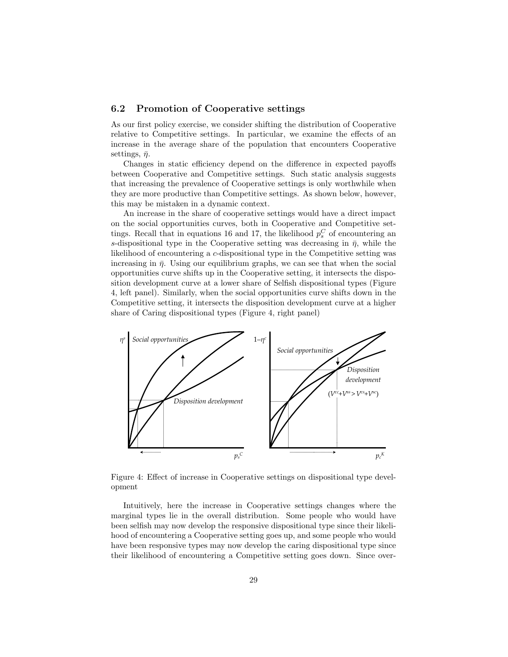#### 6.2 Promotion of Cooperative settings

As our first policy exercise, we consider shifting the distribution of Cooperative relative to Competitive settings. In particular, we examine the effects of an increase in the average share of the population that encounters Cooperative settings,  $\bar{\eta}$ .

Changes in static efficiency depend on the difference in expected payoffs between Cooperative and Competitive settings. Such static analysis suggests that increasing the prevalence of Cooperative settings is only worthwhile when they are more productive than Competitive settings. As shown below, however, this may be mistaken in a dynamic context.

An increase in the share of cooperative settings would have a direct impact on the social opportunities curves, both in Cooperative and Competitive settings. Recall that in equations 16 and 17, the likelihood  $p_s^C$  of encountering an s-dispositional type in the Cooperative setting was decreasing in  $\bar{\eta}$ , while the likelihood of encountering a c-dispositional type in the Competitive setting was increasing in  $\bar{\eta}$ . Using our equilibrium graphs, we can see that when the social opportunities curve shifts up in the Cooperative setting, it intersects the disposition development curve at a lower share of Selfish dispositional types (Figure 4, left panel). Similarly, when the social opportunities curve shifts down in the Competitive setting, it intersects the disposition development curve at a higher share of Caring dispositional types (Figure 4, right panel)



Figure 4: Effect of increase in Cooperative settings on dispositional type development

Intuitively, here the increase in Cooperative settings changes where the marginal types lie in the overall distribution. Some people who would have been selfish may now develop the responsive dispositional type since their likelihood of encountering a Cooperative setting goes up, and some people who would have been responsive types may now develop the caring dispositional type since their likelihood of encountering a Competitive setting goes down. Since over-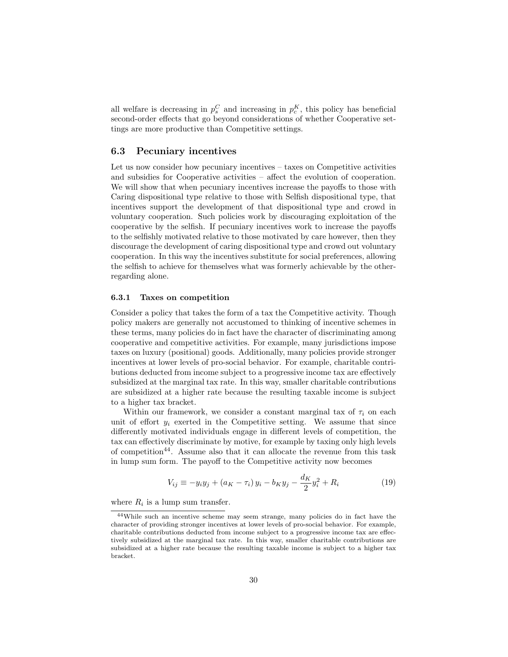all welfare is decreasing in  $p_s^C$  and increasing in  $p_c^K$ , this policy has beneficial second-order effects that go beyond considerations of whether Cooperative settings are more productive than Competitive settings.

#### 6.3 Pecuniary incentives

Let us now consider how pecuniary incentives – taxes on Competitive activities and subsidies for Cooperative activities – affect the evolution of cooperation. We will show that when pecuniary incentives increase the payoffs to those with Caring dispositional type relative to those with Selfish dispositional type, that incentives support the development of that dispositional type and crowd in voluntary cooperation. Such policies work by discouraging exploitation of the cooperative by the selfish. If pecuniary incentives work to increase the payoffs to the selfishly motivated relative to those motivated by care however, then they discourage the development of caring dispositional type and crowd out voluntary cooperation. In this way the incentives substitute for social preferences, allowing the selfish to achieve for themselves what was formerly achievable by the otherregarding alone.

#### 6.3.1 Taxes on competition

Consider a policy that takes the form of a tax the Competitive activity. Though policy makers are generally not accustomed to thinking of incentive schemes in these terms, many policies do in fact have the character of discriminating among cooperative and competitive activities. For example, many jurisdictions impose taxes on luxury (positional) goods. Additionally, many policies provide stronger incentives at lower levels of pro-social behavior. For example, charitable contributions deducted from income subject to a progressive income tax are effectively subsidized at the marginal tax rate. In this way, smaller charitable contributions are subsidized at a higher rate because the resulting taxable income is subject to a higher tax bracket.

Within our framework, we consider a constant marginal tax of  $\tau_i$  on each unit of effort  $y_i$  exerted in the Competitive setting. We assume that since differently motivated individuals engage in different levels of competition, the tax can effectively discriminate by motive, for example by taxing only high levels of competition<sup>44</sup>. Assume also that it can allocate the revenue from this task in lump sum form. The payoff to the Competitive activity now becomes

$$
V_{ij} \equiv -y_i y_j + (a_K - \tau_i) y_i - b_K y_j - \frac{d_K}{2} y_i^2 + R_i \tag{19}
$$

where  $R_i$  is a lump sum transfer.

<sup>44</sup>While such an incentive scheme may seem strange, many policies do in fact have the character of providing stronger incentives at lower levels of pro-social behavior. For example, charitable contributions deducted from income subject to a progressive income tax are effectively subsidized at the marginal tax rate. In this way, smaller charitable contributions are subsidized at a higher rate because the resulting taxable income is subject to a higher tax bracket.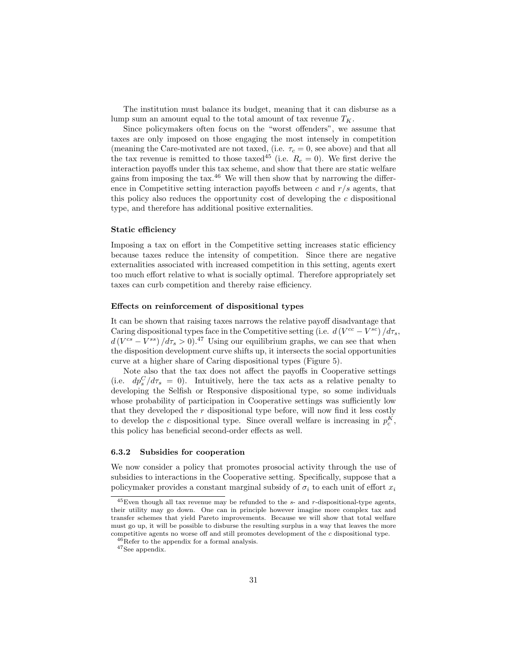The institution must balance its budget, meaning that it can disburse as a lump sum an amount equal to the total amount of tax revenue  $T_K$ .

Since policymakers often focus on the "worst offenders", we assume that taxes are only imposed on those engaging the most intensely in competition (meaning the Care-motivated are not taxed, (i.e.  $\tau_c = 0$ , see above) and that all the tax revenue is remitted to those taxed<sup>45</sup> (i.e.  $R_c = 0$ ). We first derive the interaction payoffs under this tax scheme, and show that there are static welfare gains from imposing the tax. $46$  We will then show that by narrowing the difference in Competitive setting interaction payoffs between c and  $r/s$  agents, that this policy also reduces the opportunity cost of developing the c dispositional type, and therefore has additional positive externalities.

#### Static efficiency

Imposing a tax on effort in the Competitive setting increases static efficiency because taxes reduce the intensity of competition. Since there are negative externalities associated with increased competition in this setting, agents exert too much effort relative to what is socially optimal. Therefore appropriately set taxes can curb competition and thereby raise efficiency.

#### Effects on reinforcement of dispositional types

It can be shown that raising taxes narrows the relative payoff disadvantage that Caring dispositional types face in the Competitive setting (i.e.  $d(V^{cc} - V^{sc})/d\tau_s$ ,  $d(V^{cs} - V^{ss})/d\tau_s > 0$ .<sup>47</sup> Using our equilibrium graphs, we can see that when the disposition development curve shifts up, it intersects the social opportunities curve at a higher share of Caring dispositional types (Figure 5).

Note also that the tax does not affect the payoffs in Cooperative settings (i.e.  $dp_s^C/d\tau_s = 0$ ). Intuitively, here the tax acts as a relative penalty to developing the Selfish or Responsive dispositional type, so some individuals whose probability of participation in Cooperative settings was sufficiently low that they developed the  $r$  dispositional type before, will now find it less costly to develop the c dispositional type. Since overall welfare is increasing in  $p_c^K$ , this policy has beneficial second-order effects as well.

#### 6.3.2 Subsidies for cooperation

We now consider a policy that promotes prosocial activity through the use of subsidies to interactions in the Cooperative setting. Specifically, suppose that a policymaker provides a constant marginal subsidy of  $\sigma_i$  to each unit of effort  $x_i$ 

 $45$  Even though all tax revenue may be refunded to the  $s$ - and  $r$ -dispositional-type agents, their utility may go down. One can in principle however imagine more complex tax and transfer schemes that yield Pareto improvements. Because we will show that total welfare must go up, it will be possible to disburse the resulting surplus in a way that leaves the more competitive agents no worse off and still promotes development of the c dispositional type.

<sup>46</sup>Refer to the appendix for a formal analysis.

<sup>47</sup>See appendix.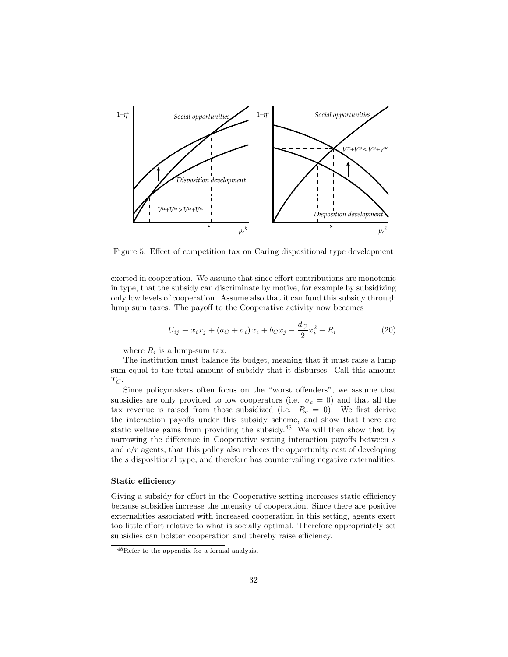

Figure 5: Effect of competition tax on Caring dispositional type development

exerted in cooperation. We assume that since effort contributions are monotonic in type, that the subsidy can discriminate by motive, for example by subsidizing only low levels of cooperation. Assume also that it can fund this subsidy through lump sum taxes. The payoff to the Cooperative activity now becomes

$$
U_{ij} \equiv x_i x_j + (a_C + \sigma_i) x_i + b_C x_j - \frac{d_C}{2} x_i^2 - R_i.
$$
 (20)

where  $R_i$  is a lump-sum tax.

The institution must balance its budget, meaning that it must raise a lump sum equal to the total amount of subsidy that it disburses. Call this amount  $T_{C}$ .

Since policymakers often focus on the "worst offenders", we assume that subsidies are only provided to low cooperators (i.e.  $\sigma_c = 0$ ) and that all the tax revenue is raised from those subsidized (i.e.  $R_c = 0$ ). We first derive the interaction payoffs under this subsidy scheme, and show that there are static welfare gains from providing the subsidy.<sup>48</sup> We will then show that by narrowing the difference in Cooperative setting interaction payoffs between s and  $c/r$  agents, that this policy also reduces the opportunity cost of developing the s dispositional type, and therefore has countervailing negative externalities.

#### Static efficiency

Giving a subsidy for effort in the Cooperative setting increases static efficiency because subsidies increase the intensity of cooperation. Since there are positive externalities associated with increased cooperation in this setting, agents exert too little effort relative to what is socially optimal. Therefore appropriately set subsidies can bolster cooperation and thereby raise efficiency.

<sup>48</sup>Refer to the appendix for a formal analysis.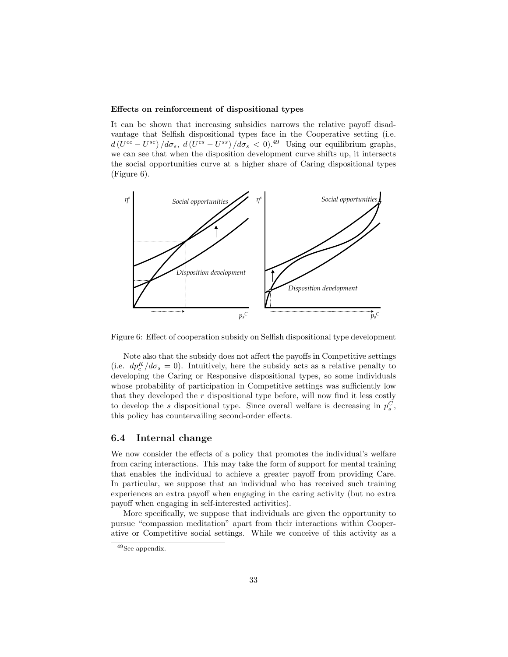#### Effects on reinforcement of dispositional types

It can be shown that increasing subsidies narrows the relative payoff disadvantage that Selfish dispositional types face in the Cooperative setting (i.e.  $d(U^{cc} - U^{sc})/d\sigma_s$ ,  $d(U^{cs} - U^{ss})/d\sigma_s < 0$ .<sup>49</sup> Using our equilibrium graphs, we can see that when the disposition development curve shifts up, it intersects the social opportunities curve at a higher share of Caring dispositional types (Figure 6).



Figure 6: Effect of cooperation subsidy on Selfish dispositional type development

Note also that the subsidy does not affect the payoffs in Competitive settings (i.e.  $dp_c^K/d\sigma_s = 0$ ). Intuitively, here the subsidy acts as a relative penalty to developing the Caring or Responsive dispositional types, so some individuals whose probability of participation in Competitive settings was sufficiently low that they developed the  $r$  dispositional type before, will now find it less costly to develop the s dispositional type. Since overall welfare is decreasing in  $p_s^C$ , this policy has countervailing second-order effects.

#### 6.4 Internal change

We now consider the effects of a policy that promotes the individual's welfare from caring interactions. This may take the form of support for mental training that enables the individual to achieve a greater payoff from providing Care. In particular, we suppose that an individual who has received such training experiences an extra payoff when engaging in the caring activity (but no extra payoff when engaging in self-interested activities).

More specifically, we suppose that individuals are given the opportunity to pursue "compassion meditation" apart from their interactions within Cooperative or Competitive social settings. While we conceive of this activity as a

<sup>49</sup>See appendix.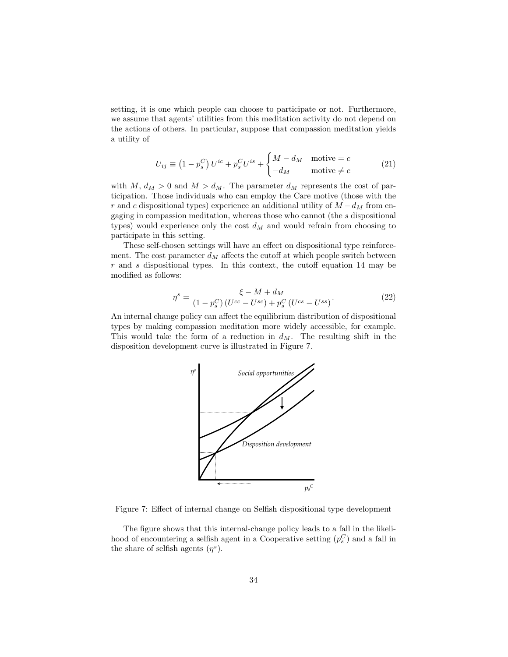setting, it is one which people can choose to participate or not. Furthermore, we assume that agents' utilities from this meditation activity do not depend on the actions of others. In particular, suppose that compassion meditation yields a utility of

$$
U_{ij} \equiv \left(1 - p_s^C\right) U^{ic} + p_s^C U^{is} + \begin{cases} M - d_M & \text{motive} = c \\ -d_M & \text{motive} \neq c \end{cases}
$$
 (21)

with  $M, d_M > 0$  and  $M > d_M$ . The parameter  $d_M$  represents the cost of participation. Those individuals who can employ the Care motive (those with the r and c dispositional types) experience an additional utility of  $M - d<sub>M</sub>$  from engaging in compassion meditation, whereas those who cannot (the s dispositional types) would experience only the cost  $d_M$  and would refrain from choosing to participate in this setting.

These self-chosen settings will have an effect on dispositional type reinforcement. The cost parameter  $d_M$  affects the cutoff at which people switch between  $r$  and  $s$  dispositional types. In this context, the cutoff equation 14 may be modified as follows:

$$
\eta^{s} = \frac{\xi - M + d_{M}}{(1 - p_{s}^{C})(U^{cc} - U^{sc}) + p_{s}^{C}(U^{cs} - U^{ss})}.
$$
\n(22)

An internal change policy can affect the equilibrium distribution of dispositional types by making compassion meditation more widely accessible, for example. This would take the form of a reduction in  $d_M$ . The resulting shift in the disposition development curve is illustrated in Figure 7.



Figure 7: Effect of internal change on Selfish dispositional type development

The figure shows that this internal-change policy leads to a fall in the likelihood of encountering a selfish agent in a Cooperative setting  $(p_s^C)$  and a fall in the share of selfish agents  $(\eta^s)$ .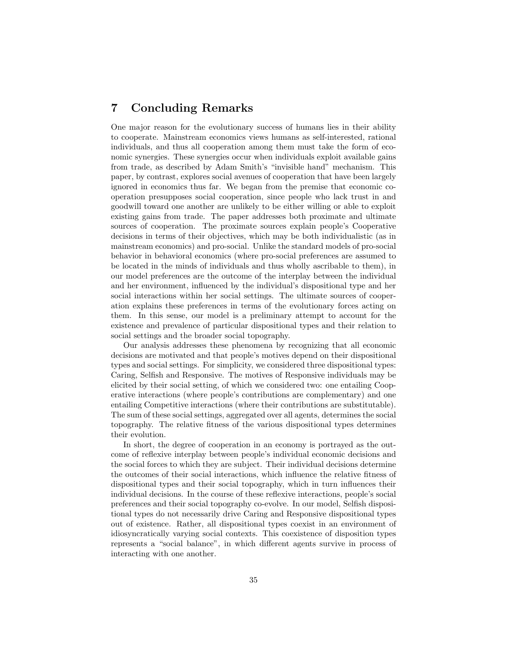## 7 Concluding Remarks

One major reason for the evolutionary success of humans lies in their ability to cooperate. Mainstream economics views humans as self-interested, rational individuals, and thus all cooperation among them must take the form of economic synergies. These synergies occur when individuals exploit available gains from trade, as described by Adam Smith's "invisible hand" mechanism. This paper, by contrast, explores social avenues of cooperation that have been largely ignored in economics thus far. We began from the premise that economic cooperation presupposes social cooperation, since people who lack trust in and goodwill toward one another are unlikely to be either willing or able to exploit existing gains from trade. The paper addresses both proximate and ultimate sources of cooperation. The proximate sources explain people's Cooperative decisions in terms of their objectives, which may be both individualistic (as in mainstream economics) and pro-social. Unlike the standard models of pro-social behavior in behavioral economics (where pro-social preferences are assumed to be located in the minds of individuals and thus wholly ascribable to them), in our model preferences are the outcome of the interplay between the individual and her environment, influenced by the individual's dispositional type and her social interactions within her social settings. The ultimate sources of cooperation explains these preferences in terms of the evolutionary forces acting on them. In this sense, our model is a preliminary attempt to account for the existence and prevalence of particular dispositional types and their relation to social settings and the broader social topography.

Our analysis addresses these phenomena by recognizing that all economic decisions are motivated and that people's motives depend on their dispositional types and social settings. For simplicity, we considered three dispositional types: Caring, Selfish and Responsive. The motives of Responsive individuals may be elicited by their social setting, of which we considered two: one entailing Cooperative interactions (where people's contributions are complementary) and one entailing Competitive interactions (where their contributions are substitutable). The sum of these social settings, aggregated over all agents, determines the social topography. The relative fitness of the various dispositional types determines their evolution.

In short, the degree of cooperation in an economy is portrayed as the outcome of reflexive interplay between people's individual economic decisions and the social forces to which they are subject. Their individual decisions determine the outcomes of their social interactions, which influence the relative fitness of dispositional types and their social topography, which in turn influences their individual decisions. In the course of these reflexive interactions, people's social preferences and their social topography co-evolve. In our model, Selfish dispositional types do not necessarily drive Caring and Responsive dispositional types out of existence. Rather, all dispositional types coexist in an environment of idiosyncratically varying social contexts. This coexistence of disposition types represents a "social balance", in which different agents survive in process of interacting with one another.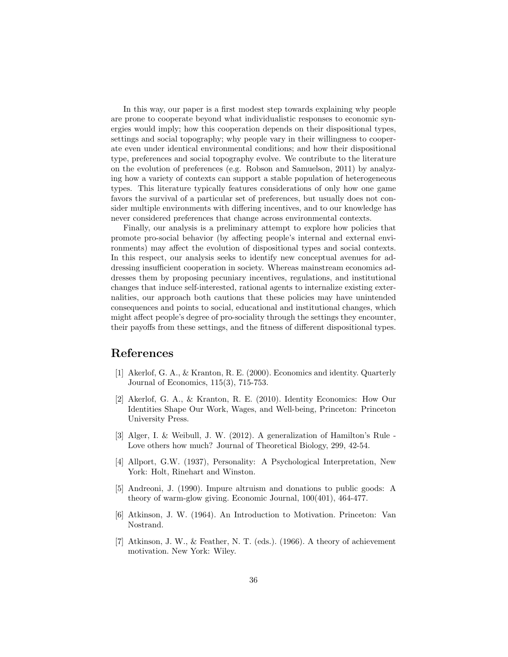In this way, our paper is a first modest step towards explaining why people are prone to cooperate beyond what individualistic responses to economic synergies would imply; how this cooperation depends on their dispositional types, settings and social topography; why people vary in their willingness to cooperate even under identical environmental conditions; and how their dispositional type, preferences and social topography evolve. We contribute to the literature on the evolution of preferences (e.g. Robson and Samuelson, 2011) by analyzing how a variety of contexts can support a stable population of heterogeneous types. This literature typically features considerations of only how one game favors the survival of a particular set of preferences, but usually does not consider multiple environments with differing incentives, and to our knowledge has never considered preferences that change across environmental contexts.

Finally, our analysis is a preliminary attempt to explore how policies that promote pro-social behavior (by affecting people's internal and external environments) may affect the evolution of dispositional types and social contexts. In this respect, our analysis seeks to identify new conceptual avenues for addressing insufficient cooperation in society. Whereas mainstream economics addresses them by proposing pecuniary incentives, regulations, and institutional changes that induce self-interested, rational agents to internalize existing externalities, our approach both cautions that these policies may have unintended consequences and points to social, educational and institutional changes, which might affect people's degree of pro-sociality through the settings they encounter, their payoffs from these settings, and the fitness of different dispositional types.

## References

- [1] Akerlof, G. A., & Kranton, R. E. (2000). Economics and identity. Quarterly Journal of Economics, 115(3), 715-753.
- [2] Akerlof, G. A., & Kranton, R. E. (2010). Identity Economics: How Our Identities Shape Our Work, Wages, and Well-being, Princeton: Princeton University Press.
- [3] Alger, I. & Weibull, J. W. (2012). A generalization of Hamilton's Rule Love others how much? Journal of Theoretical Biology, 299, 42-54.
- [4] Allport, G.W. (1937), Personality: A Psychological Interpretation, New York: Holt, Rinehart and Winston.
- [5] Andreoni, J. (1990). Impure altruism and donations to public goods: A theory of warm-glow giving. Economic Journal, 100(401), 464-477.
- [6] Atkinson, J. W. (1964). An Introduction to Motivation. Princeton: Van Nostrand.
- [7] Atkinson, J. W., & Feather, N. T. (eds.). (1966). A theory of achievement motivation. New York: Wiley.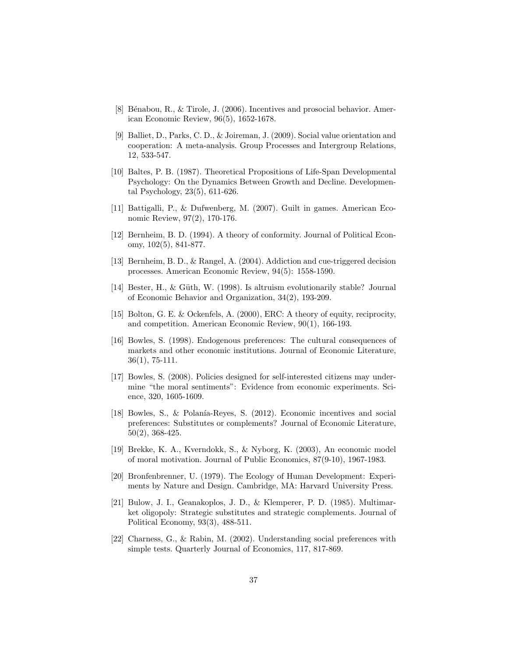- [8] Bénabou, R., & Tirole, J. (2006). Incentives and prosocial behavior. American Economic Review, 96(5), 1652-1678.
- [9] Balliet, D., Parks, C. D., & Joireman, J. (2009). Social value orientation and cooperation: A meta-analysis. Group Processes and Intergroup Relations, 12, 533-547.
- [10] Baltes, P. B. (1987). Theoretical Propositions of Life-Span Developmental Psychology: On the Dynamics Between Growth and Decline. Developmental Psychology, 23(5), 611-626.
- [11] Battigalli, P., & Dufwenberg, M. (2007). Guilt in games. American Economic Review, 97(2), 170-176.
- [12] Bernheim, B. D. (1994). A theory of conformity. Journal of Political Economy, 102(5), 841-877.
- [13] Bernheim, B. D., & Rangel, A. (2004). Addiction and cue-triggered decision processes. American Economic Review, 94(5): 1558-1590.
- [14] Bester, H., & Güth, W. (1998). Is altruism evolutionarily stable? Journal of Economic Behavior and Organization, 34(2), 193-209.
- [15] Bolton, G. E. & Ockenfels, A. (2000), ERC: A theory of equity, reciprocity, and competition. American Economic Review, 90(1), 166-193.
- [16] Bowles, S. (1998). Endogenous preferences: The cultural consequences of markets and other economic institutions. Journal of Economic Literature, 36(1), 75-111.
- [17] Bowles, S. (2008). Policies designed for self-interested citizens may undermine "the moral sentiments": Evidence from economic experiments. Science, 320, 1605-1609.
- [18] Bowles, S., & Polan´ıa-Reyes, S. (2012). Economic incentives and social preferences: Substitutes or complements? Journal of Economic Literature, 50(2), 368-425.
- [19] Brekke, K. A., Kverndokk, S., & Nyborg, K. (2003), An economic model of moral motivation. Journal of Public Economics, 87(9-10), 1967-1983.
- [20] Bronfenbrenner, U. (1979). The Ecology of Human Development: Experiments by Nature and Design. Cambridge, MA: Harvard University Press.
- [21] Bulow, J. I., Geanakoplos, J. D., & Klemperer, P. D. (1985). Multimarket oligopoly: Strategic substitutes and strategic complements. Journal of Political Economy, 93(3), 488-511.
- [22] Charness, G., & Rabin, M. (2002). Understanding social preferences with simple tests. Quarterly Journal of Economics, 117, 817-869.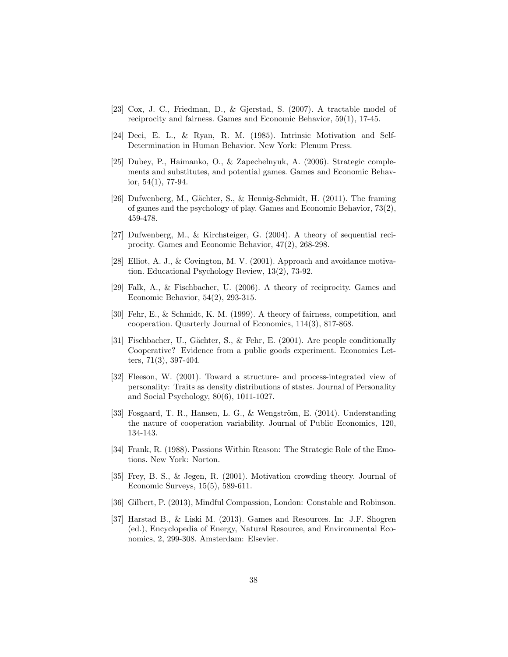- [23] Cox, J. C., Friedman, D., & Gjerstad, S. (2007). A tractable model of reciprocity and fairness. Games and Economic Behavior, 59(1), 17-45.
- [24] Deci, E. L., & Ryan, R. M. (1985). Intrinsic Motivation and Self-Determination in Human Behavior. New York: Plenum Press.
- [25] Dubey, P., Haimanko, O., & Zapechelnyuk, A. (2006). Strategic complements and substitutes, and potential games. Games and Economic Behavior,  $54(1)$ , 77-94.
- [26] Dufwenberg, M., Gächter, S., & Hennig-Schmidt, H. (2011). The framing of games and the psychology of play. Games and Economic Behavior, 73(2), 459-478.
- [27] Dufwenberg, M., & Kirchsteiger, G. (2004). A theory of sequential reciprocity. Games and Economic Behavior, 47(2), 268-298.
- [28] Elliot, A. J., & Covington, M. V. (2001). Approach and avoidance motivation. Educational Psychology Review, 13(2), 73-92.
- [29] Falk, A., & Fischbacher, U. (2006). A theory of reciprocity. Games and Economic Behavior, 54(2), 293-315.
- [30] Fehr, E., & Schmidt, K. M. (1999). A theory of fairness, competition, and cooperation. Quarterly Journal of Economics, 114(3), 817-868.
- [31] Fischbacher, U., Gächter, S., & Fehr, E. (2001). Are people conditionally Cooperative? Evidence from a public goods experiment. Economics Letters, 71(3), 397-404.
- [32] Fleeson, W. (2001). Toward a structure- and process-integrated view of personality: Traits as density distributions of states. Journal of Personality and Social Psychology, 80(6), 1011-1027.
- [33] Fosgaard, T. R., Hansen, L. G., & Wengström, E.  $(2014)$ . Understanding the nature of cooperation variability. Journal of Public Economics, 120, 134-143.
- [34] Frank, R. (1988). Passions Within Reason: The Strategic Role of the Emotions. New York: Norton.
- [35] Frey, B. S., & Jegen, R. (2001). Motivation crowding theory. Journal of Economic Surveys, 15(5), 589-611.
- [36] Gilbert, P. (2013), Mindful Compassion, London: Constable and Robinson.
- [37] Harstad B., & Liski M. (2013). Games and Resources. In: J.F. Shogren (ed.), Encyclopedia of Energy, Natural Resource, and Environmental Economics, 2, 299-308. Amsterdam: Elsevier.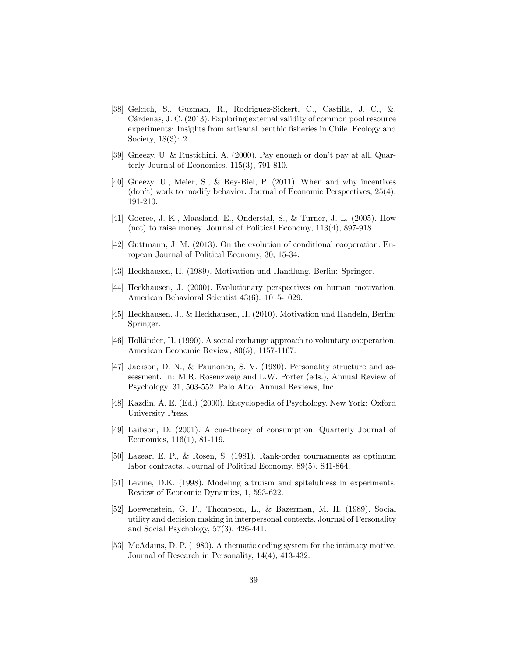- [38] Gelcich, S., Guzman, R., Rodriguez-Sickert, C., Castilla, J. C., &, Cárdenas, J. C. (2013). Exploring external validity of common pool resource experiments: Insights from artisanal benthic fisheries in Chile. Ecology and Society, 18(3): 2.
- [39] Gneezy, U. & Rustichini, A. (2000). Pay enough or don't pay at all. Quarterly Journal of Economics. 115(3), 791-810.
- [40] Gneezy, U., Meier, S., & Rey-Biel, P. (2011). When and why incentives (don't) work to modify behavior. Journal of Economic Perspectives, 25(4), 191-210.
- [41] Goeree, J. K., Maasland, E., Onderstal, S., & Turner, J. L. (2005). How (not) to raise money. Journal of Political Economy, 113(4), 897-918.
- [42] Guttmann, J. M. (2013). On the evolution of conditional cooperation. European Journal of Political Economy, 30, 15-34.
- [43] Heckhausen, H. (1989). Motivation und Handlung. Berlin: Springer.
- [44] Heckhausen, J. (2000). Evolutionary perspectives on human motivation. American Behavioral Scientist 43(6): 1015-1029.
- [45] Heckhausen, J., & Heckhausen, H. (2010). Motivation und Handeln, Berlin: Springer.
- [46] Holländer, H. (1990). A social exchange approach to voluntary cooperation. American Economic Review, 80(5), 1157-1167.
- [47] Jackson, D. N., & Paunonen, S. V. (1980). Personality structure and assessment. In: M.R. Rosenzweig and L.W. Porter (eds.), Annual Review of Psychology, 31, 503-552. Palo Alto: Annual Reviews, Inc.
- [48] Kazdin, A. E. (Ed.) (2000). Encyclopedia of Psychology. New York: Oxford University Press.
- [49] Laibson, D. (2001). A cue-theory of consumption. Quarterly Journal of Economics, 116(1), 81-119.
- [50] Lazear, E. P., & Rosen, S. (1981). Rank-order tournaments as optimum labor contracts. Journal of Political Economy, 89(5), 841-864.
- [51] Levine, D.K. (1998). Modeling altruism and spitefulness in experiments. Review of Economic Dynamics, 1, 593-622.
- [52] Loewenstein, G. F., Thompson, L., & Bazerman, M. H. (1989). Social utility and decision making in interpersonal contexts. Journal of Personality and Social Psychology, 57(3), 426-441.
- [53] McAdams, D. P. (1980). A thematic coding system for the intimacy motive. Journal of Research in Personality, 14(4), 413-432.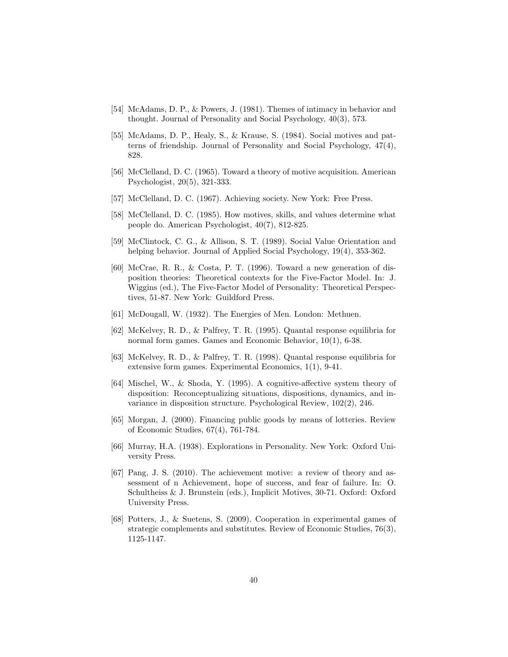- [54] McAdams, D. P., & Powers, J. (1981). Themes of intimacy in behavior and thought. Journal of Personality and Social Psychology, 40(3), 573.
- [55] McAdams, D. P., Healy, S., & Krause, S. (1984). Social motives and patterns of friendship. Journal of Personality and Social Psychology, 47(4), 828.
- [56] McClelland, D. C. (1965). Toward a theory of motive acquisition. American Psychologist, 20(5), 321-333.
- [57] McClelland, D. C. (1967). Achieving society. New York: Free Press.
- [58] McClelland, D. C. (1985). How motives, skills, and values determine what people do. American Psychologist, 40(7), 812-825.
- [59] McClintock, C. G., & Allison, S. T. (1989). Social Value Orientation and helping behavior. Journal of Applied Social Psychology, 19(4), 353-362.
- [60] McCrae, R. R., & Costa, P. T. (1996). Toward a new generation of disposition theories: Theoretical contexts for the Five-Factor Model. In: J. Wiggins (ed.), The Five-Factor Model of Personality: Theoretical Perspectives, 51-87. New York: Guildford Press.
- [61] McDougall, W. (1932). The Energies of Men. London: Methuen.
- [62] McKelvey, R. D., & Palfrey, T. R. (1995). Quantal response equilibria for normal form games. Games and Economic Behavior, 10(1), 6-38.
- [63] McKelvey, R. D., & Palfrey, T. R. (1998). Quantal response equilibria for extensive form games. Experimental Economics, 1(1), 9-41.
- [64] Mischel, W., & Shoda, Y. (1995). A cognitive-affective system theory of disposition: Reconceptualizing situations, dispositions, dynamics, and invariance in disposition structure. Psychological Review, 102(2), 246.
- [65] Morgan, J. (2000). Financing public goods by means of lotteries. Review of Economic Studies, 67(4), 761-784.
- [66] Murray, H.A. (1938). Explorations in Personality. New York: Oxford University Press.
- [67] Pang, J. S. (2010). The achievement motive: a review of theory and assessment of n Achievement, hope of success, and fear of failure. In: O. Schultheiss & J. Brunstein (eds.), Implicit Motives, 30-71. Oxford: Oxford University Press.
- [68] Potters, J., & Suetens, S. (2009). Cooperation in experimental games of strategic complements and substitutes. Review of Economic Studies, 76(3), 1125-1147.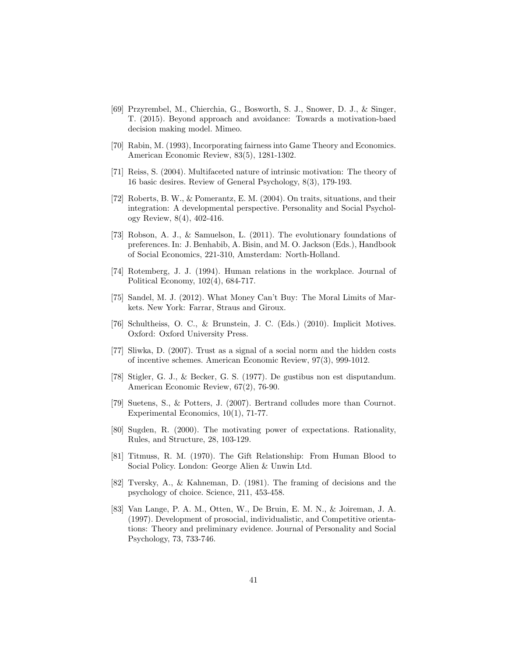- [69] Przyrembel, M., Chierchia, G., Bosworth, S. J., Snower, D. J., & Singer, T. (2015). Beyond approach and avoidance: Towards a motivation-baed decision making model. Mimeo.
- [70] Rabin, M. (1993), Incorporating fairness into Game Theory and Economics. American Economic Review, 83(5), 1281-1302.
- [71] Reiss, S. (2004). Multifaceted nature of intrinsic motivation: The theory of 16 basic desires. Review of General Psychology, 8(3), 179-193.
- [72] Roberts, B. W., & Pomerantz, E. M. (2004). On traits, situations, and their integration: A developmental perspective. Personality and Social Psychology Review, 8(4), 402-416.
- [73] Robson, A. J., & Samuelson, L. (2011). The evolutionary foundations of preferences. In: J. Benhabib, A. Bisin, and M. O. Jackson (Eds.), Handbook of Social Economics, 221-310, Amsterdam: North-Holland.
- [74] Rotemberg, J. J. (1994). Human relations in the workplace. Journal of Political Economy, 102(4), 684-717.
- [75] Sandel, M. J. (2012). What Money Can't Buy: The Moral Limits of Markets. New York: Farrar, Straus and Giroux.
- [76] Schultheiss, O. C., & Brunstein, J. C. (Eds.) (2010). Implicit Motives. Oxford: Oxford University Press.
- [77] Sliwka, D. (2007). Trust as a signal of a social norm and the hidden costs of incentive schemes. American Economic Review, 97(3), 999-1012.
- [78] Stigler, G. J., & Becker, G. S. (1977). De gustibus non est disputandum. American Economic Review, 67(2), 76-90.
- [79] Suetens, S., & Potters, J. (2007). Bertrand colludes more than Cournot. Experimental Economics, 10(1), 71-77.
- [80] Sugden, R. (2000). The motivating power of expectations. Rationality, Rules, and Structure, 28, 103-129.
- [81] Titmuss, R. M. (1970). The Gift Relationship: From Human Blood to Social Policy. London: George Alien & Unwin Ltd.
- [82] Tversky, A., & Kahneman, D. (1981). The framing of decisions and the psychology of choice. Science, 211, 453-458.
- [83] Van Lange, P. A. M., Otten, W., De Bruin, E. M. N., & Joireman, J. A. (1997). Development of prosocial, individualistic, and Competitive orientations: Theory and preliminary evidence. Journal of Personality and Social Psychology, 73, 733-746.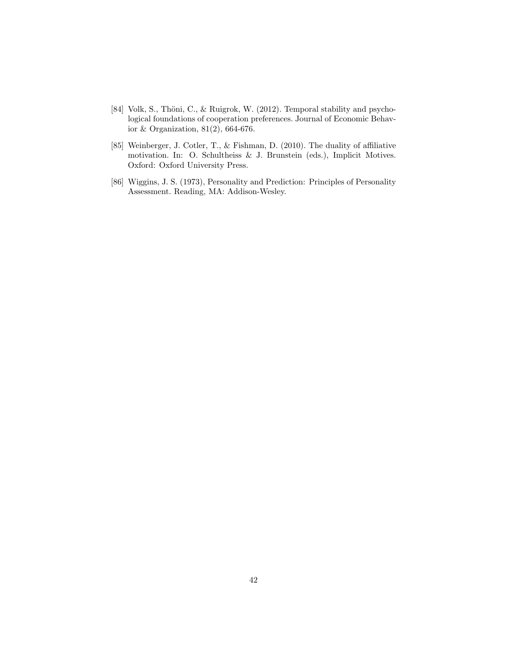- [84] Volk, S., Thöni, C., & Ruigrok, W. (2012). Temporal stability and psychological foundations of cooperation preferences. Journal of Economic Behavior & Organization, 81(2), 664-676.
- [85] Weinberger, J. Cotler, T., & Fishman, D. (2010). The duality of affiliative motivation. In: O. Schultheiss & J. Brunstein (eds.), Implicit Motives. Oxford: Oxford University Press.
- [86] Wiggins, J. S. (1973), Personality and Prediction: Principles of Personality Assessment. Reading, MA: Addison-Wesley.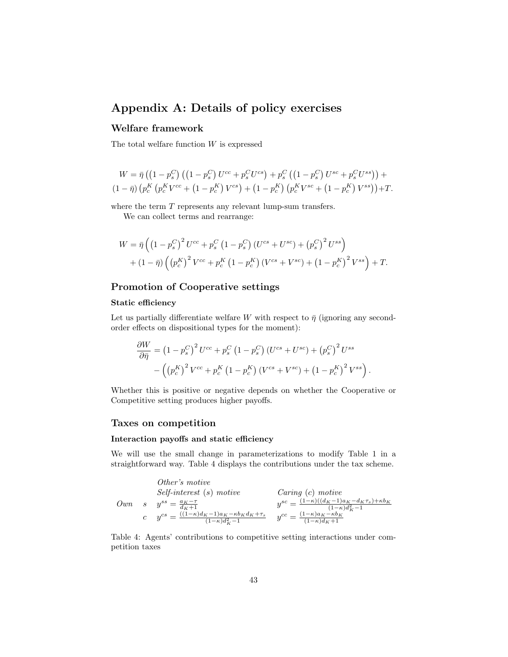## Appendix A: Details of policy exercises

### Welfare framework

The total welfare function  $W$  is expressed

$$
W = \bar{\eta} \left( \left( 1 - p_s^C \right) \left( \left( 1 - p_s^C \right) U^{cc} + p_s^C U^{cs} \right) + p_s^C \left( \left( 1 - p_s^C \right) U^{sc} + p_s^C U^{ss} \right) \right) +
$$
  

$$
\left( 1 - \bar{\eta} \right) \left( p_c^K \left( p_c^K V^{cc} + \left( 1 - p_c^K \right) V^{cs} \right) + \left( 1 - p_c^K \right) \left( p_c^K V^{sc} + \left( 1 - p_c^K \right) V^{ss} \right) \right) + T.
$$

where the term  $T$  represents any relevant lump-sum transfers.

We can collect terms and rearrange:

$$
W = \bar{\eta} \left( \left( 1 - p_s^C \right)^2 U^{cc} + p_s^C \left( 1 - p_s^C \right) \left( U^{cs} + U^{sc} \right) + \left( p_s^C \right)^2 U^{ss} \right) + \left( 1 - \bar{\eta} \right) \left( \left( p_c^K \right)^2 V^{cc} + p_c^K \left( 1 - p_c^K \right) \left( V^{cs} + V^{sc} \right) + \left( 1 - p_c^K \right)^2 V^{ss} \right) + T.
$$

#### Promotion of Cooperative settings

#### Static efficiency

Let us partially differentiate welfare W with respect to  $\bar{\eta}$  (ignoring any secondorder effects on dispositional types for the moment):

$$
\frac{\partial W}{\partial \bar{\eta}} = (1 - p_s^C)^2 U^{cc} + p_s^C (1 - p_s^C) (U^{cs} + U^{sc}) + (p_s^C)^2 U^{ss} - ((p_c^K)^2 V^{cc} + p_c^K (1 - p_c^K) (V^{cs} + V^{sc}) + (1 - p_c^K)^2 V^{ss}).
$$

Whether this is positive or negative depends on whether the Cooperative or Competitive setting produces higher payoffs.

#### Taxes on competition

#### Interaction payoffs and static efficiency

We will use the small change in parameterizations to modify Table 1 in a straightforward way. Table 4 displays the contributions under the tax scheme.

Other's motive

\n
$$
Self\text{-}interest (s) motive
$$
\n
$$
Own \quad s \quad y^{ss} = \frac{a_K - \tau}{d_K + 1}
$$
\n
$$
c \quad y^{cs} = \frac{((1 - \kappa)d_K - 1)a_K - \kappa b_K d_K + \tau_s}{(1 - \kappa)d_K^2 - 1}
$$
\n
$$
y^{cc} = \frac{(1 - \kappa)(d_K - 1)a_K - \kappa b_K d_K}{(1 - \kappa)d_K + 1}
$$

Table 4: Agents' contributions to competitive setting interactions under competition taxes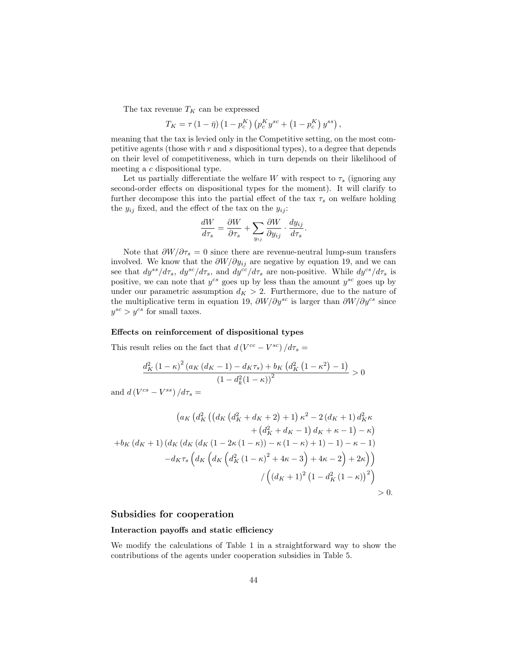The tax revenue  $T_K$  can be expressed

$$
T_K = \tau (1 - \bar{\eta}) (1 - p_c^K) (p_c^K y^{sc} + (1 - p_c^K) y^{ss}),
$$

meaning that the tax is levied only in the Competitive setting, on the most competitive agents (those with  $r$  and  $s$  dispositional types), to a degree that depends on their level of competitiveness, which in turn depends on their likelihood of meeting a c dispositional type.

Let us partially differentiate the welfare W with respect to  $\tau_s$  (ignoring any second-order effects on dispositional types for the moment). It will clarify to further decompose this into the partial effect of the tax  $\tau_s$  on welfare holding the  $y_{ij}$  fixed, and the effect of the tax on the  $y_{ij}$ :

$$
\frac{dW}{d\tau_s} = \frac{\partial W}{\partial \tau_s} + \sum_{y_{ij}} \frac{\partial W}{\partial y_{ij}} \cdot \frac{dy_{ij}}{d\tau_s}
$$

.

Note that  $\partial W/\partial \tau_s = 0$  since there are revenue-neutral lump-sum transfers involved. We know that the  $\partial W/\partial y_{ij}$  are negative by equation 19, and we can see that  $dy^{ss}/d\tau_s$ ,  $dy^{sc}/d\tau_s$ , and  $dy^{cc}/d\tau_s$  are non-positive. While  $dy^{cs}/d\tau_s$  is positive, we can note that  $y^{cs}$  goes up by less than the amount  $y^{sc}$  goes up by under our parametric assumption  $d_K > 2$ . Furthermore, due to the nature of the multiplicative term in equation 19,  $\partial W/\partial y^{sc}$  is larger than  $\partial W/\partial y^{cs}$  since  $y^{sc}$  >  $y^{cs}$  for small taxes.

#### Effects on reinforcement of dispositional types

This result relies on the fact that  $d(V^{cc} - V^{sc})/d\tau_s =$ 

$$
\frac{d_K^2 (1 - \kappa)^2 (a_K (d_K - 1) - d_K \tau_s) + b_K (d_K^2 (1 - \kappa^2) - 1)}{(1 - d_K^2 (1 - \kappa))^2} > 0
$$

and  $d(V^{cs} - V^{ss})/d\tau_s =$ 

$$
\begin{aligned}\n &\left(a_K\left(d_K\left(d_K\left(d_K\left(d_K+d_K+2\right)+1\right)\kappa^2-2\left(d_K+1\right)d_K^2\kappa\right.\right.\right.\\ \left.\left.+b_K\left(d_K+1\right)\left(d_K\left(d_K\left(d_K\left(1-2\kappa\left(1-\kappa\right)\right)-\kappa\left(1-\kappa\right)+1\right)-1\right)-\kappa-1\right)\right.\\ \left.-d_K\tau_s\left(d_K\left(d_K\left(d_K^2\left(1-\kappa\right)^2+4\kappa-3\right)+4\kappa-2\right)+2\kappa\right)\right)\\ &\left.\quad\left.\left.\left(\left(d_K+1\right)^2\left(1-d_K^2\left(1-\kappa\right)\right)^2\right)\right.\right.\right.\\ \left.\left.\left.\left.\left.\left(\left(d_K+1\right)^2\left(1-d_K^2\left(1-\kappa\right)\right)^2\right)\right)\right.\right.\right.\right)\right)\right\|>0.\n\end{aligned}
$$

#### Subsidies for cooperation

#### Interaction payoffs and static efficiency

We modify the calculations of Table 1 in a straightforward way to show the contributions of the agents under cooperation subsidies in Table 5.